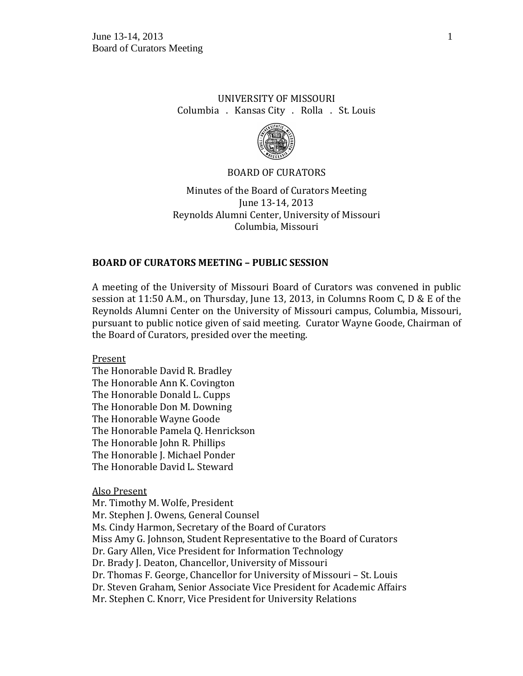## UNIVERSITY OF MISSOURI Columbia . Kansas City . Rolla . St. Louis



### BOARD OF CURATORS

Minutes of the Board of Curators Meeting June 13-14, 2013 Reynolds Alumni Center, University of Missouri Columbia, Missouri

## **BOARD OF CURATORS MEETING – PUBLIC SESSION**

A meeting of the University of Missouri Board of Curators was convened in public session at 11:50 A.M., on Thursday, June 13, 2013, in Columns Room C, D & E of the Reynolds Alumni Center on the University of Missouri campus, Columbia, Missouri, pursuant to public notice given of said meeting. Curator Wayne Goode, Chairman of the Board of Curators, presided over the meeting.

Present

The Honorable David R. Bradley The Honorable Ann K. Covington The Honorable Donald L. Cupps The Honorable Don M. Downing The Honorable Wayne Goode The Honorable Pamela Q. Henrickson The Honorable John R. Phillips The Honorable J. Michael Ponder The Honorable David L. Steward

Also Present

Mr. Timothy M. Wolfe, President Mr. Stephen J. Owens, General Counsel Ms. Cindy Harmon, Secretary of the Board of Curators Miss Amy G. Johnson, Student Representative to the Board of Curators Dr. Gary Allen, Vice President for Information Technology Dr. Brady J. Deaton, Chancellor, University of Missouri Dr. Thomas F. George, Chancellor for University of Missouri – St. Louis Dr. Steven Graham, Senior Associate Vice President for Academic Affairs Mr. Stephen C. Knorr, Vice President for University Relations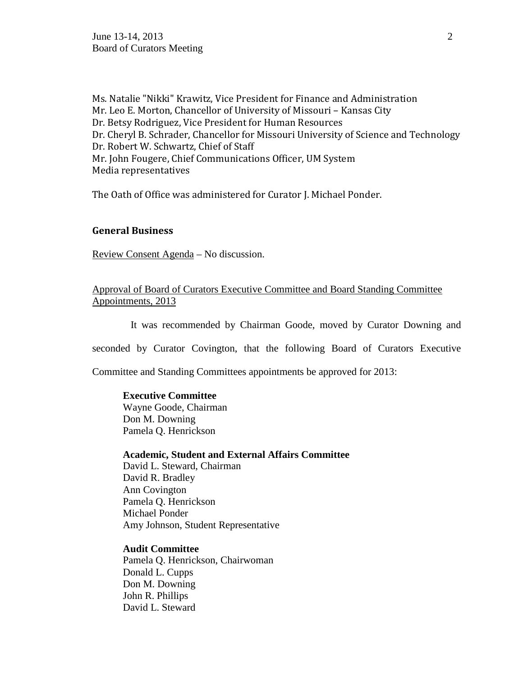**June 13-14, 2013** 2 Board of Curators Meeting

Ms. Natalie "Nikki" Krawitz, Vice President for Finance and Administration Mr. Leo E. Morton, Chancellor of University of Missouri – Kansas City Dr. Betsy Rodriguez, Vice President for Human Resources Dr. Cheryl B. Schrader, Chancellor for Missouri University of Science and Technology Dr. Robert W. Schwartz, Chief of Staff Mr. John Fougere, Chief Communications Officer, UM System Media representatives

The Oath of Office was administered for Curator J. Michael Ponder.

### **General Business**

Review Consent Agenda – No discussion.

Approval of Board of Curators Executive Committee and Board Standing Committee Appointments, 2013

It was recommended by Chairman Goode, moved by Curator Downing and

seconded by Curator Covington, that the following Board of Curators Executive

Committee and Standing Committees appointments be approved for 2013:

### **Executive Committee**

Wayne Goode, Chairman Don M. Downing Pamela Q. Henrickson

**Academic, Student and External Affairs Committee**

David L. Steward, Chairman David R. Bradley Ann Covington Pamela Q. Henrickson Michael Ponder Amy Johnson, Student Representative

## **Audit Committee**

Pamela Q. Henrickson, Chairwoman Donald L. Cupps Don M. Downing John R. Phillips David L. Steward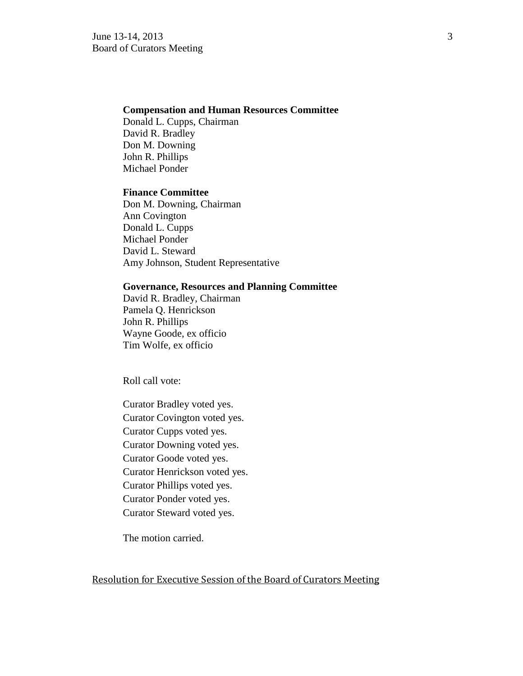### **Compensation and Human Resources Committee**

Donald L. Cupps, Chairman David R. Bradley Don M. Downing John R. Phillips Michael Ponder

## **Finance Committee**

Don M. Downing, Chairman Ann Covington Donald L. Cupps Michael Ponder David L. Steward Amy Johnson, Student Representative

### **Governance, Resources and Planning Committee**

David R. Bradley, Chairman Pamela Q. Henrickson John R. Phillips Wayne Goode, ex officio Tim Wolfe, ex officio

Roll call vote:

Curator Bradley voted yes. Curator Covington voted yes. Curator Cupps voted yes. Curator Downing voted yes. Curator Goode voted yes. Curator Henrickson voted yes. Curator Phillips voted yes. Curator Ponder voted yes. Curator Steward voted yes.

The motion carried.

### Resolution for Executive Session of the Board of Curators Meeting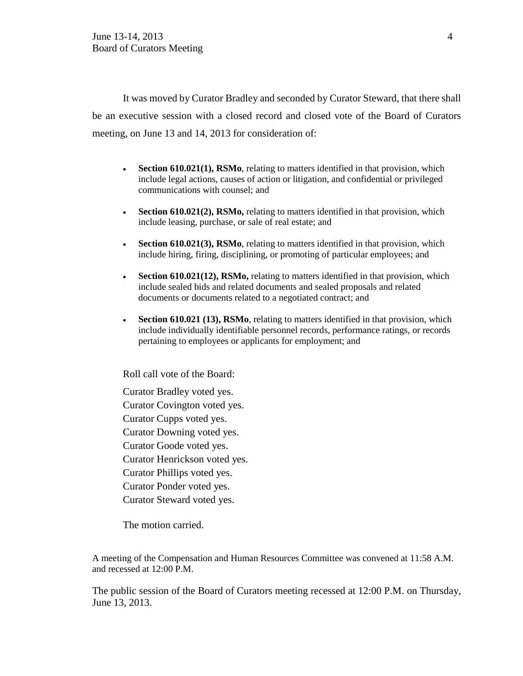It was moved by Curator Bradley and seconded by Curator Steward, that there shall be an executive session with a closed record and closed vote of the Board of Curators meeting, on June 13 and 14, 2013 for consideration of:

- **Section 610.021(1), RSMo**, relating to matters identified in that provision, which include legal actions, causes of action or litigation, and confidential or privileged communications with counsel; and
- **Section 610.021(2), RSMo,** relating to matters identified in that provision, which include leasing, purchase, or sale of real estate; and
- **Section 610.021(3), RSMo**, relating to matters identified in that provision, which include hiring, firing, disciplining, or promoting of particular employees; and
- **Section 610.021(12), RSMo,** relating to matters identified in that provision, which include sealed bids and related documents and sealed proposals and related documents or documents related to a negotiated contract; and
- **Section 610.021 (13), RSMo**, relating to matters identified in that provision, which include individually identifiable personnel records, performance ratings, or records pertaining to employees or applicants for employment; and

Roll call vote of the Board:

Curator Bradley voted yes. Curator Covington voted yes. Curator Cupps voted yes. Curator Downing voted yes. Curator Goode voted yes. Curator Henrickson voted yes. Curator Phillips voted yes. Curator Ponder voted yes. Curator Steward voted yes.

The motion carried.

A meeting of the Compensation and Human Resources Committee was convened at 11:58 A.M. and recessed at 12:00 P.M.

The public session of the Board of Curators meeting recessed at 12:00 P.M. on Thursday, June 13, 2013.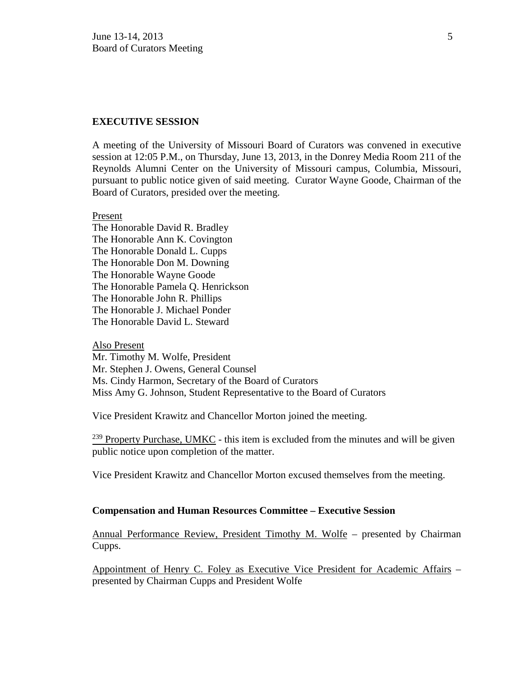### **EXECUTIVE SESSION**

A meeting of the University of Missouri Board of Curators was convened in executive session at 12:05 P.M., on Thursday, June 13, 2013, in the Donrey Media Room 211 of the Reynolds Alumni Center on the University of Missouri campus, Columbia, Missouri, pursuant to public notice given of said meeting. Curator Wayne Goode, Chairman of the Board of Curators, presided over the meeting.

#### Present

The Honorable David R. Bradley The Honorable Ann K. Covington The Honorable Donald L. Cupps The Honorable Don M. Downing The Honorable Wayne Goode The Honorable Pamela Q. Henrickson The Honorable John R. Phillips The Honorable J. Michael Ponder The Honorable David L. Steward

#### Also Present

Mr. Timothy M. Wolfe, President Mr. Stephen J. Owens, General Counsel Ms. Cindy Harmon, Secretary of the Board of Curators Miss Amy G. Johnson, Student Representative to the Board of Curators

Vice President Krawitz and Chancellor Morton joined the meeting.

 $239$  Property Purchase, UMKC - this item is excluded from the minutes and will be given public notice upon completion of the matter.

Vice President Krawitz and Chancellor Morton excused themselves from the meeting.

### **Compensation and Human Resources Committee – Executive Session**

Annual Performance Review, President Timothy M. Wolfe – presented by Chairman Cupps.

Appointment of Henry C. Foley as Executive Vice President for Academic Affairs – presented by Chairman Cupps and President Wolfe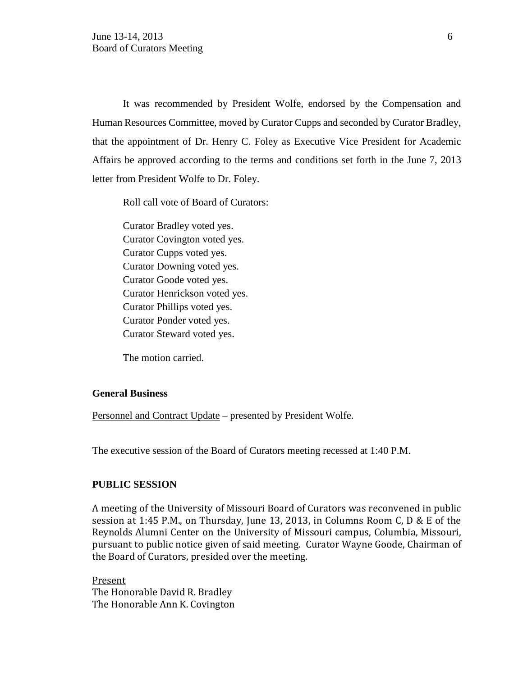It was recommended by President Wolfe, endorsed by the Compensation and Human Resources Committee, moved by Curator Cupps and seconded by Curator Bradley, that the appointment of Dr. Henry C. Foley as Executive Vice President for Academic Affairs be approved according to the terms and conditions set forth in the June 7, 2013 letter from President Wolfe to Dr. Foley.

Roll call vote of Board of Curators:

Curator Bradley voted yes. Curator Covington voted yes. Curator Cupps voted yes. Curator Downing voted yes. Curator Goode voted yes. Curator Henrickson voted yes. Curator Phillips voted yes. Curator Ponder voted yes. Curator Steward voted yes.

The motion carried.

## **General Business**

Personnel and Contract Update – presented by President Wolfe.

The executive session of the Board of Curators meeting recessed at 1:40 P.M.

## **PUBLIC SESSION**

A meeting of the University of Missouri Board of Curators was reconvened in public session at 1:45 P.M., on Thursday, June 13, 2013, in Columns Room C, D & E of the Reynolds Alumni Center on the University of Missouri campus, Columbia, Missouri, pursuant to public notice given of said meeting. Curator Wayne Goode, Chairman of the Board of Curators, presided over the meeting.

Present The Honorable David R. Bradley The Honorable Ann K. Covington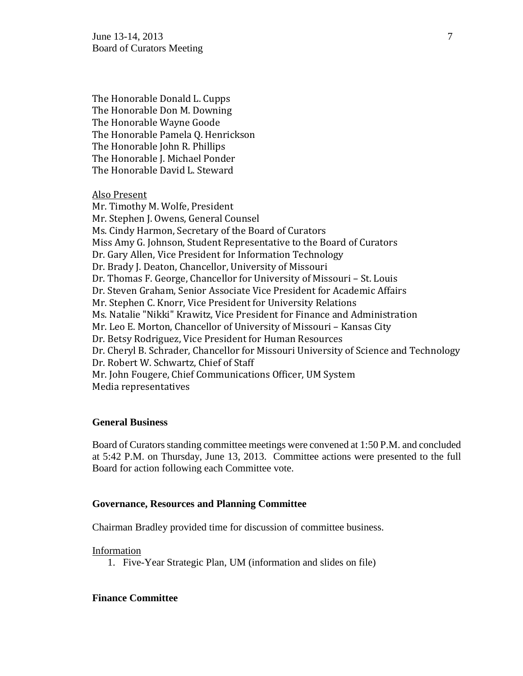June 13-14, 2013  $\frac{7}{2}$ Board of Curators Meeting

The Honorable Donald L. Cupps The Honorable Don M. Downing The Honorable Wayne Goode The Honorable Pamela Q. Henrickson The Honorable John R. Phillips The Honorable J. Michael Ponder The Honorable David L. Steward

Also Present

Mr. Timothy M. Wolfe, President Mr. Stephen J. Owens, General Counsel Ms. Cindy Harmon, Secretary of the Board of Curators Miss Amy G. Johnson, Student Representative to the Board of Curators Dr. Gary Allen, Vice President for Information Technology Dr. Brady J. Deaton, Chancellor, University of Missouri Dr. Thomas F. George, Chancellor for University of Missouri – St. Louis Dr. Steven Graham, Senior Associate Vice President for Academic Affairs Mr. Stephen C. Knorr, Vice President for University Relations Ms. Natalie "Nikki" Krawitz, Vice President for Finance and Administration Mr. Leo E. Morton, Chancellor of University of Missouri – Kansas City Dr. Betsy Rodriguez, Vice President for Human Resources Dr. Cheryl B. Schrader, Chancellor for Missouri University of Science and Technology Dr. Robert W. Schwartz, Chief of Staff Mr. John Fougere, Chief Communications Officer, UM System Media representatives

## **General Business**

Board of Curators standing committee meetings were convened at 1:50 P.M. and concluded at 5:42 P.M. on Thursday, June 13, 2013. Committee actions were presented to the full Board for action following each Committee vote.

### **Governance, Resources and Planning Committee**

Chairman Bradley provided time for discussion of committee business.

#### Information

1. Five-Year Strategic Plan, UM (information and slides on file)

## **Finance Committee**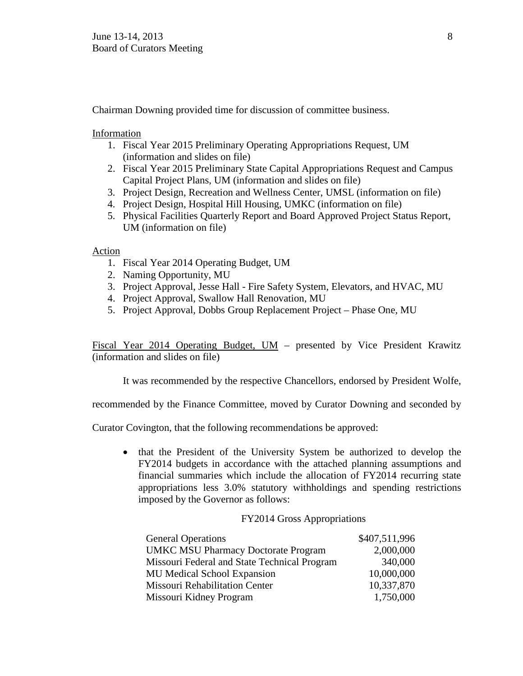Chairman Downing provided time for discussion of committee business.

Information

- 1. Fiscal Year 2015 Preliminary Operating Appropriations Request, UM (information and slides on file)
- 2. Fiscal Year 2015 Preliminary State Capital Appropriations Request and Campus Capital Project Plans, UM (information and slides on file)
- 3. Project Design, Recreation and Wellness Center, UMSL (information on file)
- 4. Project Design, Hospital Hill Housing, UMKC (information on file)
- 5. Physical Facilities Quarterly Report and Board Approved Project Status Report, UM (information on file)

Action

- 1. Fiscal Year 2014 Operating Budget, UM
- 2. Naming Opportunity, MU
- 3. Project Approval, Jesse Hall Fire Safety System, Elevators, and HVAC, MU
- 4. Project Approval, Swallow Hall Renovation, MU
- 5. Project Approval, Dobbs Group Replacement Project Phase One, MU

Fiscal Year 2014 Operating Budget, UM – presented by Vice President Krawitz (information and slides on file)

It was recommended by the respective Chancellors, endorsed by President Wolfe,

recommended by the Finance Committee, moved by Curator Downing and seconded by

Curator Covington, that the following recommendations be approved:

• that the President of the University System be authorized to develop the FY2014 budgets in accordance with the attached planning assumptions and financial summaries which include the allocation of FY2014 recurring state appropriations less 3.0% statutory withholdings and spending restrictions imposed by the Governor as follows:

### FY2014 Gross Appropriations

| <b>General Operations</b>                    | \$407,511,996 |
|----------------------------------------------|---------------|
| <b>UMKC MSU Pharmacy Doctorate Program</b>   | 2,000,000     |
| Missouri Federal and State Technical Program | 340,000       |
| <b>MU Medical School Expansion</b>           | 10,000,000    |
| <b>Missouri Rehabilitation Center</b>        | 10,337,870    |
| Missouri Kidney Program                      | 1,750,000     |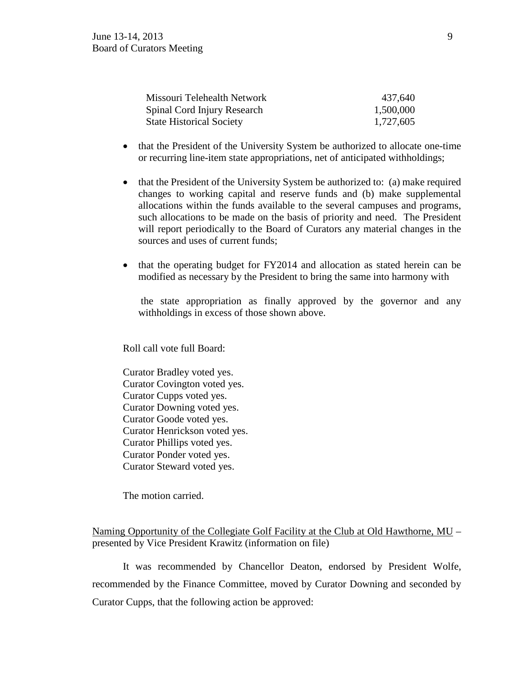| Missouri Telehealth Network     | 437,640   |
|---------------------------------|-----------|
| Spinal Cord Injury Research     | 1,500,000 |
| <b>State Historical Society</b> | 1,727,605 |

- that the President of the University System be authorized to allocate one-time or recurring line-item state appropriations, net of anticipated withholdings;
- that the President of the University System be authorized to: (a) make required changes to working capital and reserve funds and (b) make supplemental allocations within the funds available to the several campuses and programs, such allocations to be made on the basis of priority and need. The President will report periodically to the Board of Curators any material changes in the sources and uses of current funds;
- that the operating budget for FY2014 and allocation as stated herein can be modified as necessary by the President to bring the same into harmony with

the state appropriation as finally approved by the governor and any withholdings in excess of those shown above.

Roll call vote full Board:

Curator Bradley voted yes. Curator Covington voted yes. Curator Cupps voted yes. Curator Downing voted yes. Curator Goode voted yes. Curator Henrickson voted yes. Curator Phillips voted yes. Curator Ponder voted yes. Curator Steward voted yes.

The motion carried.

## Naming Opportunity of the Collegiate Golf Facility at the Club at Old Hawthorne, MU – presented by Vice President Krawitz (information on file)

It was recommended by Chancellor Deaton, endorsed by President Wolfe, recommended by the Finance Committee, moved by Curator Downing and seconded by Curator Cupps, that the following action be approved: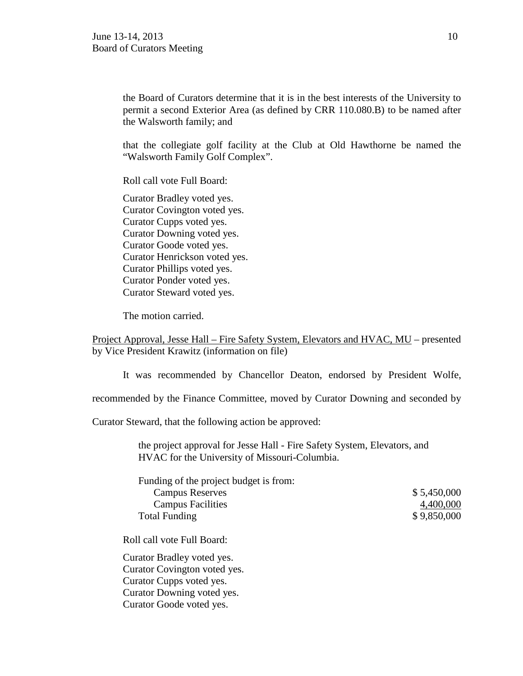the Board of Curators determine that it is in the best interests of the University to permit a second Exterior Area (as defined by CRR 110.080.B) to be named after the Walsworth family; and

that the collegiate golf facility at the Club at Old Hawthorne be named the "Walsworth Family Golf Complex".

Roll call vote Full Board:

Curator Bradley voted yes. Curator Covington voted yes. Curator Cupps voted yes. Curator Downing voted yes. Curator Goode voted yes. Curator Henrickson voted yes. Curator Phillips voted yes. Curator Ponder voted yes. Curator Steward voted yes.

The motion carried.

Project Approval, Jesse Hall – Fire Safety System, Elevators and HVAC, MU – presented by Vice President Krawitz (information on file)

It was recommended by Chancellor Deaton, endorsed by President Wolfe,

recommended by the Finance Committee, moved by Curator Downing and seconded by

Curator Steward, that the following action be approved:

the project approval for Jesse Hall - Fire Safety System, Elevators, and HVAC for the University of Missouri-Columbia.

| Funding of the project budget is from: |             |
|----------------------------------------|-------------|
| <b>Campus Reserves</b>                 | \$5,450,000 |
| <b>Campus Facilities</b>               | 4,400,000   |
| <b>Total Funding</b>                   | \$9,850,000 |

Roll call vote Full Board:

Curator Bradley voted yes. Curator Covington voted yes. Curator Cupps voted yes. Curator Downing voted yes. Curator Goode voted yes.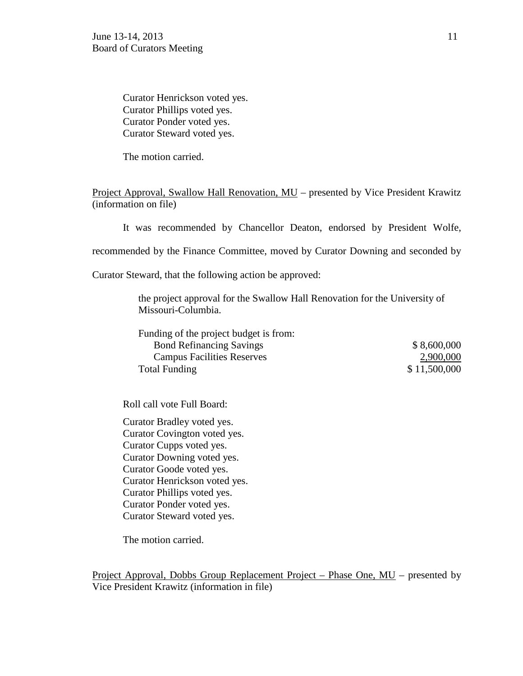Curator Henrickson voted yes. Curator Phillips voted yes. Curator Ponder voted yes. Curator Steward voted yes.

The motion carried.

Project Approval, Swallow Hall Renovation, MU – presented by Vice President Krawitz (information on file)

It was recommended by Chancellor Deaton, endorsed by President Wolfe,

recommended by the Finance Committee, moved by Curator Downing and seconded by

Curator Steward, that the following action be approved:

the project approval for the Swallow Hall Renovation for the University of Missouri-Columbia.

Funding of the project budget is from: Bond Refinancing Savings  $$8,600,000$ Campus Facilities Reserves 2,900,000 Total Funding \$11,500,000

Roll call vote Full Board:

Curator Bradley voted yes. Curator Covington voted yes. Curator Cupps voted yes. Curator Downing voted yes. Curator Goode voted yes. Curator Henrickson voted yes. Curator Phillips voted yes. Curator Ponder voted yes. Curator Steward voted yes.

The motion carried.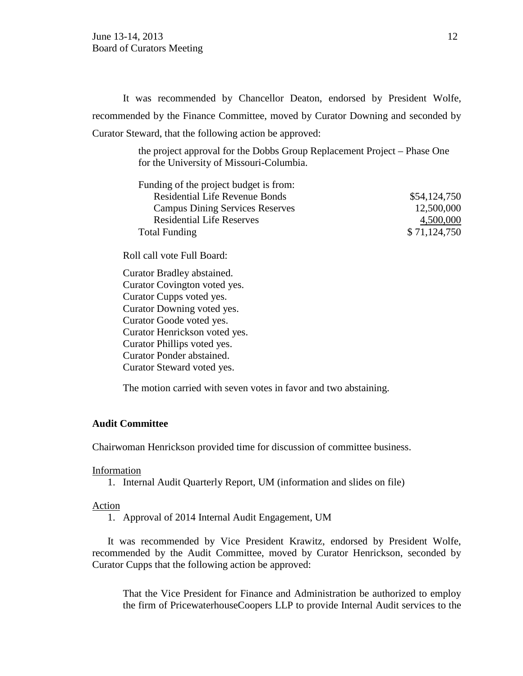It was recommended by Chancellor Deaton, endorsed by President Wolfe, recommended by the Finance Committee, moved by Curator Downing and seconded by Curator Steward, that the following action be approved:

> the project approval for the Dobbs Group Replacement Project – Phase One for the University of Missouri-Columbia.

| Funding of the project budget is from: |              |
|----------------------------------------|--------------|
| <b>Residential Life Revenue Bonds</b>  | \$54,124,750 |
| <b>Campus Dining Services Reserves</b> | 12,500,000   |
| <b>Residential Life Reserves</b>       | 4,500,000    |
| <b>Total Funding</b>                   | \$71,124,750 |

Roll call vote Full Board:

Curator Bradley abstained. Curator Covington voted yes. Curator Cupps voted yes. Curator Downing voted yes. Curator Goode voted yes. Curator Henrickson voted yes. Curator Phillips voted yes. Curator Ponder abstained. Curator Steward voted yes.

The motion carried with seven votes in favor and two abstaining.

## **Audit Committee**

Chairwoman Henrickson provided time for discussion of committee business.

#### Information

1. Internal Audit Quarterly Report, UM (information and slides on file)

### Action

1. Approval of 2014 Internal Audit Engagement, UM

It was recommended by Vice President Krawitz, endorsed by President Wolfe, recommended by the Audit Committee, moved by Curator Henrickson, seconded by Curator Cupps that the following action be approved:

That the Vice President for Finance and Administration be authorized to employ the firm of PricewaterhouseCoopers LLP to provide Internal Audit services to the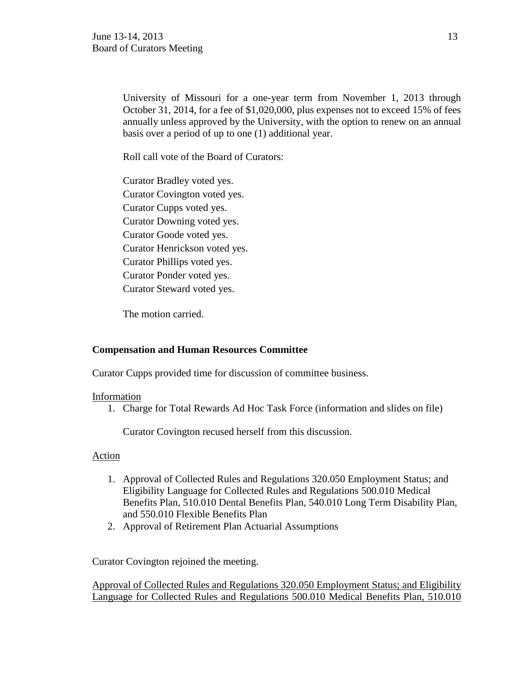University of Missouri for a one-year term from November 1, 2013 through October 31, 2014, for a fee of \$1,020,000, plus expenses not to exceed 15% of fees annually unless approved by the University, with the option to renew on an annual basis over a period of up to one (1) additional year.

Roll call vote of the Board of Curators:

Curator Bradley voted yes. Curator Covington voted yes. Curator Cupps voted yes. Curator Downing voted yes. Curator Goode voted yes. Curator Henrickson voted yes. Curator Phillips voted yes. Curator Ponder voted yes. Curator Steward voted yes.

The motion carried.

## **Compensation and Human Resources Committee**

Curator Cupps provided time for discussion of committee business.

## Information

1. Charge for Total Rewards Ad Hoc Task Force (information and slides on file)

Curator Covington recused herself from this discussion.

## Action

- 1. Approval of Collected Rules and Regulations 320.050 Employment Status; and Eligibility Language for Collected Rules and Regulations 500.010 Medical Benefits Plan, 510.010 Dental Benefits Plan, 540.010 Long Term Disability Plan, and 550.010 Flexible Benefits Plan
- 2. Approval of Retirement Plan Actuarial Assumptions

Curator Covington rejoined the meeting.

Approval of Collected Rules and Regulations 320.050 Employment Status; and Eligibility Language for Collected Rules and Regulations 500.010 Medical Benefits Plan, 510.010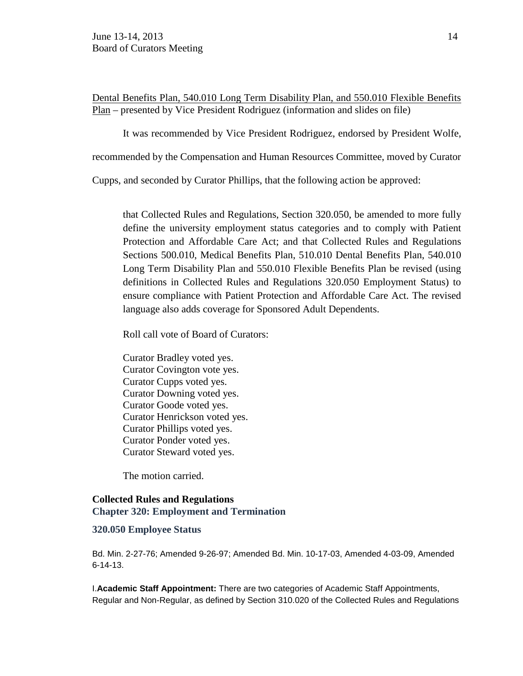Dental Benefits Plan, 540.010 Long Term Disability Plan, and 550.010 Flexible Benefits Plan – presented by Vice President Rodriguez (information and slides on file)

It was recommended by Vice President Rodriguez, endorsed by President Wolfe,

recommended by the Compensation and Human Resources Committee, moved by Curator

Cupps, and seconded by Curator Phillips, that the following action be approved:

that Collected Rules and Regulations, Section 320.050, be amended to more fully define the university employment status categories and to comply with Patient Protection and Affordable Care Act; and that Collected Rules and Regulations Sections 500.010, Medical Benefits Plan, 510.010 Dental Benefits Plan, 540.010 Long Term Disability Plan and 550.010 Flexible Benefits Plan be revised (using definitions in Collected Rules and Regulations 320.050 Employment Status) to ensure compliance with Patient Protection and Affordable Care Act. The revised language also adds coverage for Sponsored Adult Dependents.

Roll call vote of Board of Curators:

Curator Bradley voted yes. Curator Covington vote yes. Curator Cupps voted yes. Curator Downing voted yes. Curator Goode voted yes. Curator Henrickson voted yes. Curator Phillips voted yes. Curator Ponder voted yes. Curator Steward voted yes.

The motion carried.

## **Collected Rules and Regulations Chapter 320: Employment and Termination**

### **320.050 Employee Status**

Bd. Min. 2-27-76; Amended 9-26-97; Amended Bd. Min. 10-17-03, Amended 4-03-09, Amended 6-14-13.

I.**Academic Staff Appointment:** There are two categories of Academic Staff Appointments, Regular and Non-Regular, as defined by Section 310.020 of the Collected Rules and Regulations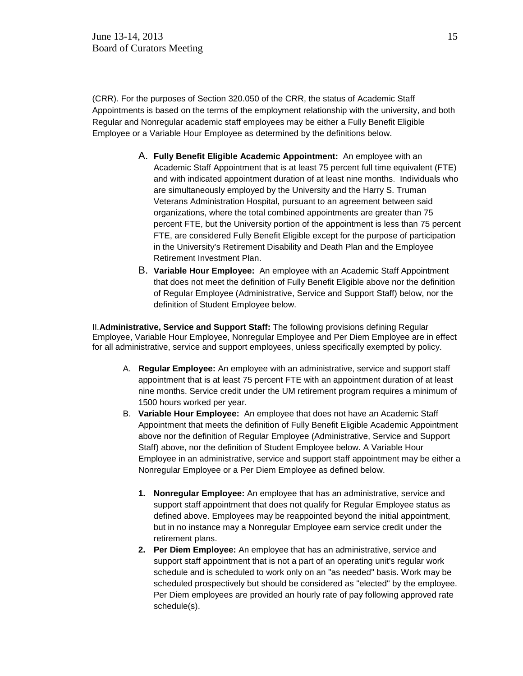(CRR). For the purposes of Section 320.050 of the CRR, the status of Academic Staff Appointments is based on the terms of the employment relationship with the university, and both Regular and Nonregular academic staff employees may be either a Fully Benefit Eligible Employee or a Variable Hour Employee as determined by the definitions below.

- A. **Fully Benefit Eligible Academic Appointment:** An employee with an Academic Staff Appointment that is at least 75 percent full time equivalent (FTE) and with indicated appointment duration of at least nine months. Individuals who are simultaneously employed by the University and the Harry S. Truman Veterans Administration Hospital, pursuant to an agreement between said organizations, where the total combined appointments are greater than 75 percent FTE, but the University portion of the appointment is less than 75 percent FTE, are considered Fully Benefit Eligible except for the purpose of participation in the University's Retirement Disability and Death Plan and the Employee Retirement Investment Plan.
- B. **Variable Hour Employee:** An employee with an Academic Staff Appointment that does not meet the definition of Fully Benefit Eligible above nor the definition of Regular Employee (Administrative, Service and Support Staff) below, nor the definition of Student Employee below.

II.**Administrative, Service and Support Staff:** The following provisions defining Regular Employee, Variable Hour Employee, Nonregular Employee and Per Diem Employee are in effect for all administrative, service and support employees, unless specifically exempted by policy.

- A. **Regular Employee:** An employee with an administrative, service and support staff appointment that is at least 75 percent FTE with an appointment duration of at least nine months. Service credit under the UM retirement program requires a minimum of 1500 hours worked per year.
- B. **Variable Hour Employee:** An employee that does not have an Academic Staff Appointment that meets the definition of Fully Benefit Eligible Academic Appointment above nor the definition of Regular Employee (Administrative, Service and Support Staff) above, nor the definition of Student Employee below. A Variable Hour Employee in an administrative, service and support staff appointment may be either a Nonregular Employee or a Per Diem Employee as defined below.
	- **1. Nonregular Employee:** An employee that has an administrative, service and support staff appointment that does not qualify for Regular Employee status as defined above. Employees may be reappointed beyond the initial appointment, but in no instance may a Nonregular Employee earn service credit under the retirement plans.
	- **2. Per Diem Employee:** An employee that has an administrative, service and support staff appointment that is not a part of an operating unit's regular work schedule and is scheduled to work only on an "as needed" basis. Work may be scheduled prospectively but should be considered as "elected" by the employee. Per Diem employees are provided an hourly rate of pay following approved rate schedule(s).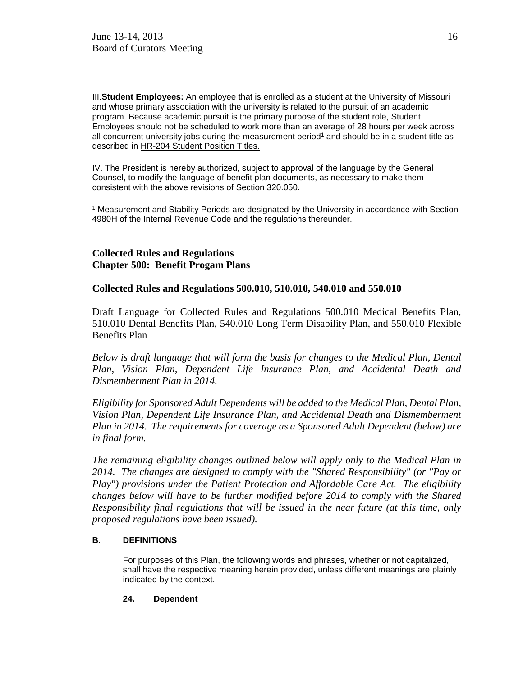III.**Student Employees:** An employee that is enrolled as a student at the University of Missouri and whose primary association with the university is related to the pursuit of an academic program. Because academic pursuit is the primary purpose of the student role, Student Employees should not be scheduled to work more than an average of 28 hours per week across all concurrent university jobs during the measurement period<sup>1</sup> and should be in a student title as described in HR-204 Student Position Titles.

IV. The President is hereby authorized, subject to approval of the language by the General Counsel, to modify the language of benefit plan documents, as necessary to make them consistent with the above revisions of Section 320.050.

<sup>1</sup> Measurement and Stability Periods are designated by the University in accordance with Section 4980H of the Internal Revenue Code and the regulations thereunder.

## **Collected Rules and Regulations Chapter 500: Benefit Progam Plans**

## **Collected Rules and Regulations 500.010, 510.010, 540.010 and 550.010**

Draft Language for Collected Rules and Regulations 500.010 Medical Benefits Plan, 510.010 Dental Benefits Plan, 540.010 Long Term Disability Plan, and 550.010 Flexible Benefits Plan

*Below is draft language that will form the basis for changes to the Medical Plan, Dental Plan, Vision Plan, Dependent Life Insurance Plan, and Accidental Death and Dismemberment Plan in 2014.* 

*Eligibility for Sponsored Adult Dependents will be added to the Medical Plan, Dental Plan, Vision Plan, Dependent Life Insurance Plan, and Accidental Death and Dismemberment Plan in 2014. The requirements for coverage as a Sponsored Adult Dependent (below) are in final form.* 

*The remaining eligibility changes outlined below will apply only to the Medical Plan in 2014. The changes are designed to comply with the "Shared Responsibility" (or "Pay or Play") provisions under the Patient Protection and Affordable Care Act. The eligibility changes below will have to be further modified before 2014 to comply with the Shared Responsibility final regulations that will be issued in the near future (at this time, only proposed regulations have been issued).*

### **B. DEFINITIONS**

For purposes of this Plan, the following words and phrases, whether or not capitalized, shall have the respective meaning herein provided, unless different meanings are plainly indicated by the context.

### **24. Dependent**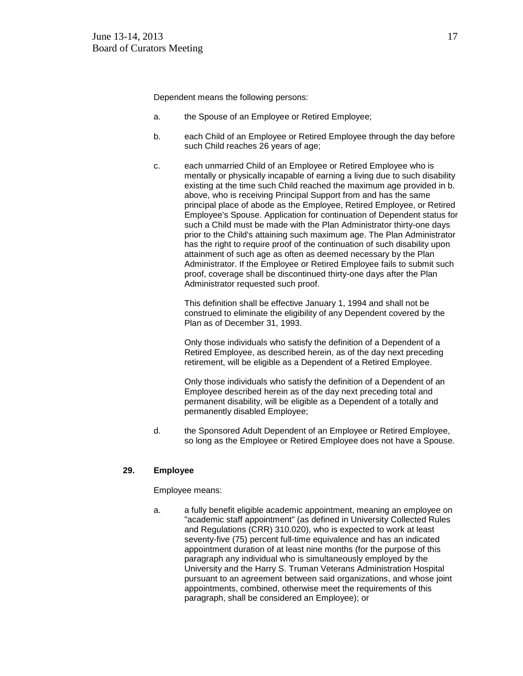Dependent means the following persons:

- a. the Spouse of an Employee or Retired Employee;
- b. each Child of an Employee or Retired Employee through the day before such Child reaches 26 years of age;
- c. each unmarried Child of an Employee or Retired Employee who is mentally or physically incapable of earning a living due to such disability existing at the time such Child reached the maximum age provided in b. above, who is receiving Principal Support from and has the same principal place of abode as the Employee, Retired Employee, or Retired Employee's Spouse. Application for continuation of Dependent status for such a Child must be made with the Plan Administrator thirty-one days prior to the Child's attaining such maximum age. The Plan Administrator has the right to require proof of the continuation of such disability upon attainment of such age as often as deemed necessary by the Plan Administrator. If the Employee or Retired Employee fails to submit such proof, coverage shall be discontinued thirty-one days after the Plan Administrator requested such proof.

This definition shall be effective January 1, 1994 and shall not be construed to eliminate the eligibility of any Dependent covered by the Plan as of December 31, 1993.

Only those individuals who satisfy the definition of a Dependent of a Retired Employee, as described herein, as of the day next preceding retirement, will be eligible as a Dependent of a Retired Employee.

Only those individuals who satisfy the definition of a Dependent of an Employee described herein as of the day next preceding total and permanent disability, will be eligible as a Dependent of a totally and permanently disabled Employee;

d. the Sponsored Adult Dependent of an Employee or Retired Employee, so long as the Employee or Retired Employee does not have a Spouse.

#### **29. Employee**

Employee means:

a. a fully benefit eligible academic appointment, meaning an employee on "academic staff appointment" (as defined in University Collected Rules and Regulations (CRR) 310.020), who is expected to work at least seventy-five (75) percent full-time equivalence and has an indicated appointment duration of at least nine months (for the purpose of this paragraph any individual who is simultaneously employed by the University and the Harry S. Truman Veterans Administration Hospital pursuant to an agreement between said organizations, and whose joint appointments, combined, otherwise meet the requirements of this paragraph, shall be considered an Employee); or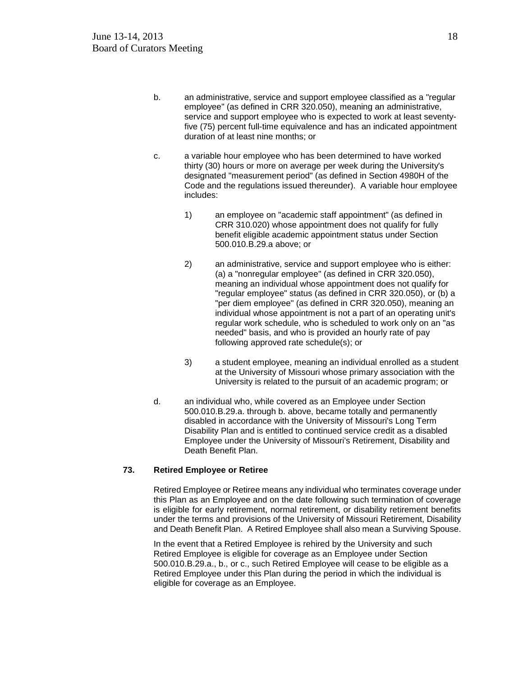- b. an administrative, service and support employee classified as a "regular employee" (as defined in CRR 320.050), meaning an administrative, service and support employee who is expected to work at least seventyfive (75) percent full-time equivalence and has an indicated appointment duration of at least nine months; or
- c. a variable hour employee who has been determined to have worked thirty (30) hours or more on average per week during the University's designated "measurement period" (as defined in Section 4980H of the Code and the regulations issued thereunder). A variable hour employee includes:
	- 1) an employee on "academic staff appointment" (as defined in CRR 310.020) whose appointment does not qualify for fully benefit eligible academic appointment status under Section 500.010.B.29.a above; or
	- 2) an administrative, service and support employee who is either: (a) a "nonregular employee" (as defined in CRR 320.050), meaning an individual whose appointment does not qualify for "regular employee" status (as defined in CRR 320.050), or (b) a "per diem employee" (as defined in CRR 320.050), meaning an individual whose appointment is not a part of an operating unit's regular work schedule, who is scheduled to work only on an "as needed" basis, and who is provided an hourly rate of pay following approved rate schedule(s); or
	- 3) a student employee, meaning an individual enrolled as a student at the University of Missouri whose primary association with the University is related to the pursuit of an academic program; or
- d. an individual who, while covered as an Employee under Section 500.010.B.29.a. through b. above, became totally and permanently disabled in accordance with the University of Missouri's Long Term Disability Plan and is entitled to continued service credit as a disabled Employee under the University of Missouri's Retirement, Disability and Death Benefit Plan.

### **73. Retired Employee or Retiree**

Retired Employee or Retiree means any individual who terminates coverage under this Plan as an Employee and on the date following such termination of coverage is eligible for early retirement, normal retirement, or disability retirement benefits under the terms and provisions of the University of Missouri Retirement, Disability and Death Benefit Plan. A Retired Employee shall also mean a Surviving Spouse.

In the event that a Retired Employee is rehired by the University and such Retired Employee is eligible for coverage as an Employee under Section 500.010.B.29.a., b., or c., such Retired Employee will cease to be eligible as a Retired Employee under this Plan during the period in which the individual is eligible for coverage as an Employee.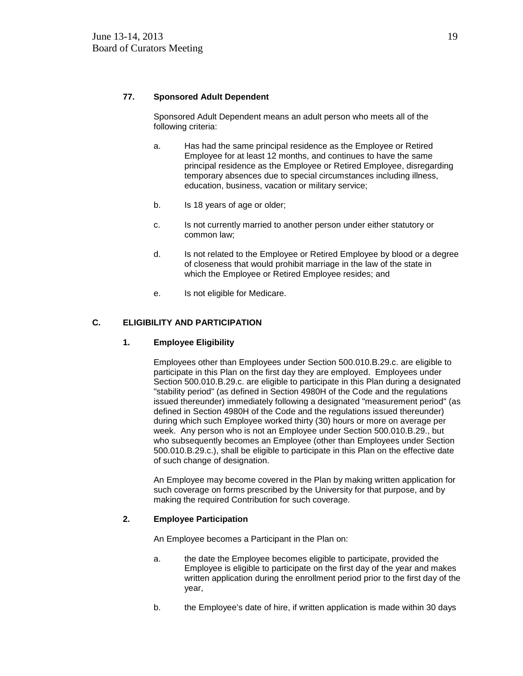### **77. Sponsored Adult Dependent**

Sponsored Adult Dependent means an adult person who meets all of the following criteria:

- a. Has had the same principal residence as the Employee or Retired Employee for at least 12 months, and continues to have the same principal residence as the Employee or Retired Employee, disregarding temporary absences due to special circumstances including illness, education, business, vacation or military service;
- b. Is 18 years of age or older;
- c. Is not currently married to another person under either statutory or common law;
- d. Is not related to the Employee or Retired Employee by blood or a degree of closeness that would prohibit marriage in the law of the state in which the Employee or Retired Employee resides; and
- e. Is not eligible for Medicare.

### **C. ELIGIBILITY AND PARTICIPATION**

#### **1. Employee Eligibility**

Employees other than Employees under Section 500.010.B.29.c. are eligible to participate in this Plan on the first day they are employed. Employees under Section 500.010.B.29.c. are eligible to participate in this Plan during a designated "stability period" (as defined in Section 4980H of the Code and the regulations issued thereunder) immediately following a designated "measurement period" (as defined in Section 4980H of the Code and the regulations issued thereunder) during which such Employee worked thirty (30) hours or more on average per week. Any person who is not an Employee under Section 500.010.B.29., but who subsequently becomes an Employee (other than Employees under Section 500.010.B.29.c.), shall be eligible to participate in this Plan on the effective date of such change of designation.

An Employee may become covered in the Plan by making written application for such coverage on forms prescribed by the University for that purpose, and by making the required Contribution for such coverage.

#### **2. Employee Participation**

An Employee becomes a Participant in the Plan on:

- a. the date the Employee becomes eligible to participate, provided the Employee is eligible to participate on the first day of the year and makes written application during the enrollment period prior to the first day of the year,
- b. the Employee's date of hire, if written application is made within 30 days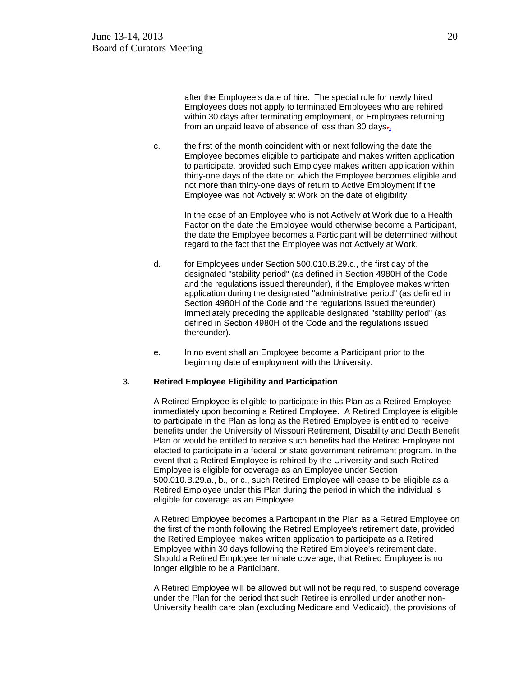after the Employee's date of hire. The special rule for newly hired Employees does not apply to terminated Employees who are rehired within 30 days after terminating employment, or Employees returning from an unpaid leave of absence of less than 30 days $\tau_{1}$ .

c. the first of the month coincident with or next following the date the Employee becomes eligible to participate and makes written application to participate, provided such Employee makes written application within thirty-one days of the date on which the Employee becomes eligible and not more than thirty-one days of return to Active Employment if the Employee was not Actively at Work on the date of eligibility.

In the case of an Employee who is not Actively at Work due to a Health Factor on the date the Employee would otherwise become a Participant, the date the Employee becomes a Participant will be determined without regard to the fact that the Employee was not Actively at Work.

- d. for Employees under Section 500.010.B.29.c., the first day of the designated "stability period" (as defined in Section 4980H of the Code and the regulations issued thereunder), if the Employee makes written application during the designated "administrative period" (as defined in Section 4980H of the Code and the regulations issued thereunder) immediately preceding the applicable designated "stability period" (as defined in Section 4980H of the Code and the regulations issued thereunder).
- e. In no event shall an Employee become a Participant prior to the beginning date of employment with the University.

#### **3. Retired Employee Eligibility and Participation**

A Retired Employee is eligible to participate in this Plan as a Retired Employee immediately upon becoming a Retired Employee. A Retired Employee is eligible to participate in the Plan as long as the Retired Employee is entitled to receive benefits under the University of Missouri Retirement, Disability and Death Benefit Plan or would be entitled to receive such benefits had the Retired Employee not elected to participate in a federal or state government retirement program. In the event that a Retired Employee is rehired by the University and such Retired Employee is eligible for coverage as an Employee under Section 500.010.B.29.a., b., or c., such Retired Employee will cease to be eligible as a Retired Employee under this Plan during the period in which the individual is eligible for coverage as an Employee.

A Retired Employee becomes a Participant in the Plan as a Retired Employee on the first of the month following the Retired Employee's retirement date, provided the Retired Employee makes written application to participate as a Retired Employee within 30 days following the Retired Employee's retirement date. Should a Retired Employee terminate coverage, that Retired Employee is no longer eligible to be a Participant.

A Retired Employee will be allowed but will not be required, to suspend coverage under the Plan for the period that such Retiree is enrolled under another non-University health care plan (excluding Medicare and Medicaid), the provisions of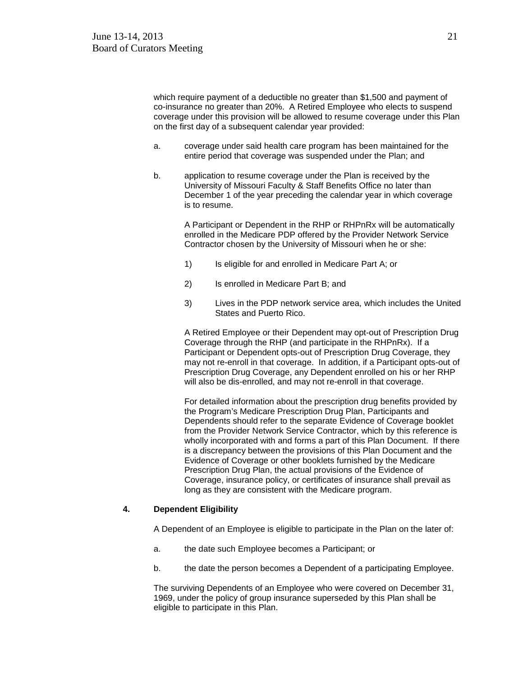which require payment of a deductible no greater than \$1,500 and payment of co-insurance no greater than 20%. A Retired Employee who elects to suspend coverage under this provision will be allowed to resume coverage under this Plan on the first day of a subsequent calendar year provided:

- a. coverage under said health care program has been maintained for the entire period that coverage was suspended under the Plan; and
- b. application to resume coverage under the Plan is received by the University of Missouri Faculty & Staff Benefits Office no later than December 1 of the year preceding the calendar year in which coverage is to resume.

A Participant or Dependent in the RHP or RHPnRx will be automatically enrolled in the Medicare PDP offered by the Provider Network Service Contractor chosen by the University of Missouri when he or she:

- 1) Is eligible for and enrolled in Medicare Part A; or
- 2) Is enrolled in Medicare Part B; and
- 3) Lives in the PDP network service area, which includes the United States and Puerto Rico.

A Retired Employee or their Dependent may opt-out of Prescription Drug Coverage through the RHP (and participate in the RHPnRx). If a Participant or Dependent opts-out of Prescription Drug Coverage, they may not re-enroll in that coverage. In addition, if a Participant opts-out of Prescription Drug Coverage, any Dependent enrolled on his or her RHP will also be dis-enrolled, and may not re-enroll in that coverage.

For detailed information about the prescription drug benefits provided by the Program's Medicare Prescription Drug Plan, Participants and Dependents should refer to the separate Evidence of Coverage booklet from the Provider Network Service Contractor, which by this reference is wholly incorporated with and forms a part of this Plan Document. If there is a discrepancy between the provisions of this Plan Document and the Evidence of Coverage or other booklets furnished by the Medicare Prescription Drug Plan, the actual provisions of the Evidence of Coverage, insurance policy, or certificates of insurance shall prevail as long as they are consistent with the Medicare program.

#### **4. Dependent Eligibility**

A Dependent of an Employee is eligible to participate in the Plan on the later of:

- a. the date such Employee becomes a Participant; or
- b. the date the person becomes a Dependent of a participating Employee.

The surviving Dependents of an Employee who were covered on December 31, 1969, under the policy of group insurance superseded by this Plan shall be eligible to participate in this Plan.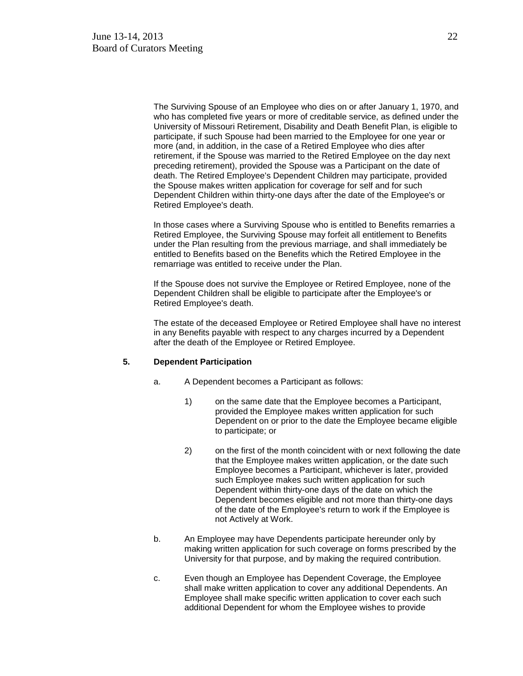The Surviving Spouse of an Employee who dies on or after January 1, 1970, and who has completed five years or more of creditable service, as defined under the University of Missouri Retirement, Disability and Death Benefit Plan, is eligible to participate, if such Spouse had been married to the Employee for one year or more (and, in addition, in the case of a Retired Employee who dies after retirement, if the Spouse was married to the Retired Employee on the day next preceding retirement), provided the Spouse was a Participant on the date of death. The Retired Employee's Dependent Children may participate, provided the Spouse makes written application for coverage for self and for such Dependent Children within thirty-one days after the date of the Employee's or Retired Employee's death.

In those cases where a Surviving Spouse who is entitled to Benefits remarries a Retired Employee, the Surviving Spouse may forfeit all entitlement to Benefits under the Plan resulting from the previous marriage, and shall immediately be entitled to Benefits based on the Benefits which the Retired Employee in the remarriage was entitled to receive under the Plan.

If the Spouse does not survive the Employee or Retired Employee, none of the Dependent Children shall be eligible to participate after the Employee's or Retired Employee's death.

The estate of the deceased Employee or Retired Employee shall have no interest in any Benefits payable with respect to any charges incurred by a Dependent after the death of the Employee or Retired Employee.

#### **5. Dependent Participation**

- a. A Dependent becomes a Participant as follows:
	- 1) on the same date that the Employee becomes a Participant, provided the Employee makes written application for such Dependent on or prior to the date the Employee became eligible to participate; or
	- 2) on the first of the month coincident with or next following the date that the Employee makes written application, or the date such Employee becomes a Participant, whichever is later, provided such Employee makes such written application for such Dependent within thirty-one days of the date on which the Dependent becomes eligible and not more than thirty-one days of the date of the Employee's return to work if the Employee is not Actively at Work.
- b. An Employee may have Dependents participate hereunder only by making written application for such coverage on forms prescribed by the University for that purpose, and by making the required contribution.
- c. Even though an Employee has Dependent Coverage, the Employee shall make written application to cover any additional Dependents. An Employee shall make specific written application to cover each such additional Dependent for whom the Employee wishes to provide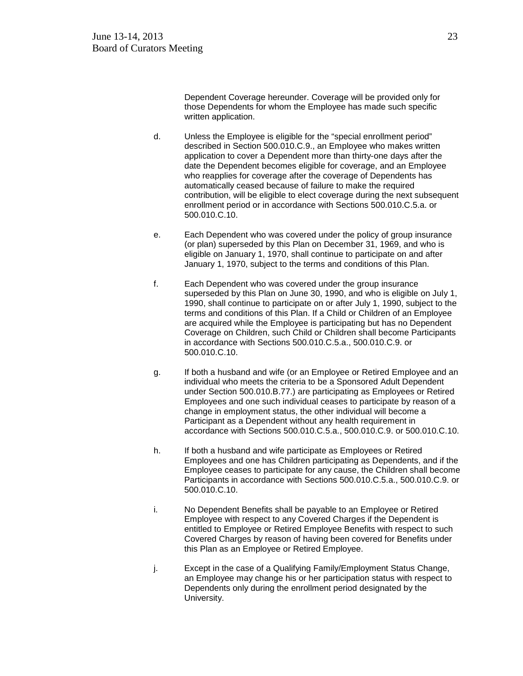Dependent Coverage hereunder. Coverage will be provided only for those Dependents for whom the Employee has made such specific written application.

- d. Unless the Employee is eligible for the "special enrollment period" described in Section 500.010.C.9., an Employee who makes written application to cover a Dependent more than thirty-one days after the date the Dependent becomes eligible for coverage, and an Employee who reapplies for coverage after the coverage of Dependents has automatically ceased because of failure to make the required contribution, will be eligible to elect coverage during the next subsequent enrollment period or in accordance with Sections 500.010.C.5.a. or 500.010.C.10.
- e. Each Dependent who was covered under the policy of group insurance (or plan) superseded by this Plan on December 31, 1969, and who is eligible on January 1, 1970, shall continue to participate on and after January 1, 1970, subject to the terms and conditions of this Plan.
- f. Each Dependent who was covered under the group insurance superseded by this Plan on June 30, 1990, and who is eligible on July 1, 1990, shall continue to participate on or after July 1, 1990, subject to the terms and conditions of this Plan. If a Child or Children of an Employee are acquired while the Employee is participating but has no Dependent Coverage on Children, such Child or Children shall become Participants in accordance with Sections 500.010.C.5.a., 500.010.C.9. or 500.010.C.10.
- g. If both a husband and wife (or an Employee or Retired Employee and an individual who meets the criteria to be a Sponsored Adult Dependent under Section 500.010.B.77.) are participating as Employees or Retired Employees and one such individual ceases to participate by reason of a change in employment status, the other individual will become a Participant as a Dependent without any health requirement in accordance with Sections 500.010.C.5.a., 500.010.C.9. or 500.010.C.10.
- h. If both a husband and wife participate as Employees or Retired Employees and one has Children participating as Dependents, and if the Employee ceases to participate for any cause, the Children shall become Participants in accordance with Sections 500.010.C.5.a., 500.010.C.9. or 500.010.C.10.
- i. No Dependent Benefits shall be payable to an Employee or Retired Employee with respect to any Covered Charges if the Dependent is entitled to Employee or Retired Employee Benefits with respect to such Covered Charges by reason of having been covered for Benefits under this Plan as an Employee or Retired Employee.
- j. Except in the case of a Qualifying Family/Employment Status Change, an Employee may change his or her participation status with respect to Dependents only during the enrollment period designated by the University.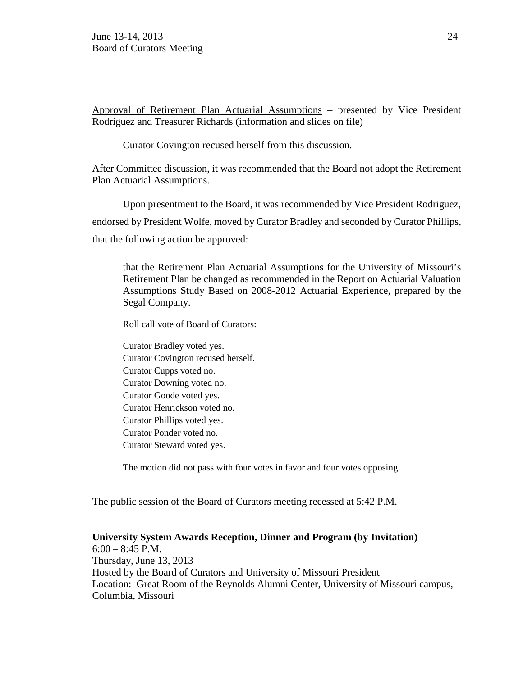Approval of Retirement Plan Actuarial Assumptions – presented by Vice President Rodriguez and Treasurer Richards (information and slides on file)

Curator Covington recused herself from this discussion.

After Committee discussion, it was recommended that the Board not adopt the Retirement Plan Actuarial Assumptions.

Upon presentment to the Board, it was recommended by Vice President Rodriguez, endorsed by President Wolfe, moved by Curator Bradley and seconded by Curator Phillips, that the following action be approved:

that the Retirement Plan Actuarial Assumptions for the University of Missouri's Retirement Plan be changed as recommended in the Report on Actuarial Valuation Assumptions Study Based on 2008-2012 Actuarial Experience, prepared by the Segal Company.

Roll call vote of Board of Curators:

Curator Bradley voted yes. Curator Covington recused herself. Curator Cupps voted no. Curator Downing voted no. Curator Goode voted yes. Curator Henrickson voted no. Curator Phillips voted yes. Curator Ponder voted no. Curator Steward voted yes.

The motion did not pass with four votes in favor and four votes opposing.

The public session of the Board of Curators meeting recessed at 5:42 P.M.

**University System Awards Reception, Dinner and Program (by Invitation)** 6:00 – 8:45 P.M. Thursday, June 13, 2013 Hosted by the Board of Curators and University of Missouri President Location: Great Room of the Reynolds Alumni Center, University of Missouri campus, Columbia, Missouri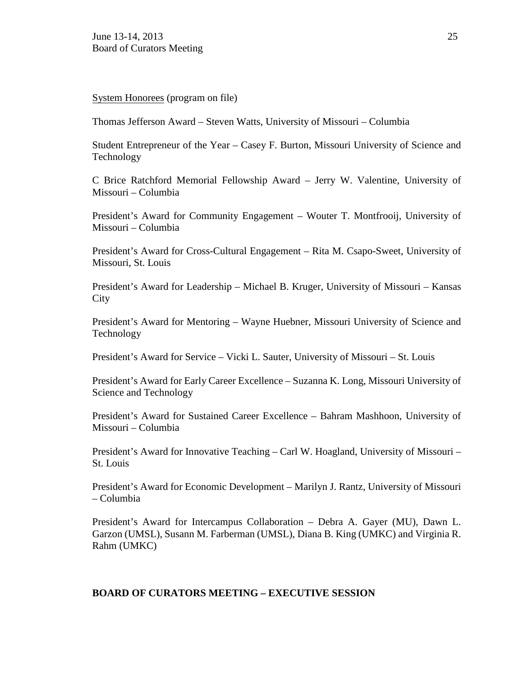System Honorees (program on file)

Thomas Jefferson Award – Steven Watts, University of Missouri – Columbia

Student Entrepreneur of the Year – Casey F. Burton, Missouri University of Science and Technology

C Brice Ratchford Memorial Fellowship Award – Jerry W. Valentine, University of Missouri – Columbia

President's Award for Community Engagement – Wouter T. Montfrooij, University of Missouri – Columbia

President's Award for Cross-Cultural Engagement – Rita M. Csapo-Sweet, University of Missouri, St. Louis

President's Award for Leadership – Michael B. Kruger, University of Missouri – Kansas **City** 

President's Award for Mentoring – Wayne Huebner, Missouri University of Science and Technology

President's Award for Service – Vicki L. Sauter, University of Missouri – St. Louis

President's Award for Early Career Excellence – Suzanna K. Long, Missouri University of Science and Technology

President's Award for Sustained Career Excellence – Bahram Mashhoon, University of Missouri – Columbia

President's Award for Innovative Teaching – Carl W. Hoagland, University of Missouri – St. Louis

President's Award for Economic Development – Marilyn J. Rantz, University of Missouri – Columbia

President's Award for Intercampus Collaboration – Debra A. Gayer (MU), Dawn L. Garzon (UMSL), Susann M. Farberman (UMSL), Diana B. King (UMKC) and Virginia R. Rahm (UMKC)

### **BOARD OF CURATORS MEETING – EXECUTIVE SESSION**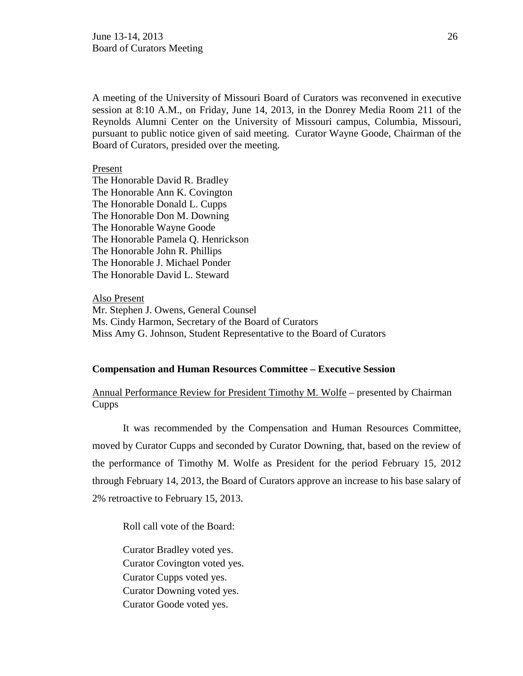A meeting of the University of Missouri Board of Curators was reconvened in executive session at 8:10 A.M., on Friday, June 14, 2013, in the Donrey Media Room 211 of the Reynolds Alumni Center on the University of Missouri campus, Columbia, Missouri, pursuant to public notice given of said meeting. Curator Wayne Goode, Chairman of the Board of Curators, presided over the meeting.

Present

The Honorable David R. Bradley The Honorable Ann K. Covington The Honorable Donald L. Cupps The Honorable Don M. Downing The Honorable Wayne Goode The Honorable Pamela Q. Henrickson The Honorable John R. Phillips The Honorable J. Michael Ponder The Honorable David L. Steward

Also Present Mr. Stephen J. Owens, General Counsel Ms. Cindy Harmon, Secretary of the Board of Curators Miss Amy G. Johnson, Student Representative to the Board of Curators

#### **Compensation and Human Resources Committee – Executive Session**

Annual Performance Review for President Timothy M. Wolfe – presented by Chairman Cupps

It was recommended by the Compensation and Human Resources Committee, moved by Curator Cupps and seconded by Curator Downing, that, based on the review of the performance of Timothy M. Wolfe as President for the period February 15, 2012 through February 14, 2013, the Board of Curators approve an increase to his base salary of 2% retroactive to February 15, 2013.

Roll call vote of the Board:

Curator Bradley voted yes. Curator Covington voted yes. Curator Cupps voted yes. Curator Downing voted yes. Curator Goode voted yes.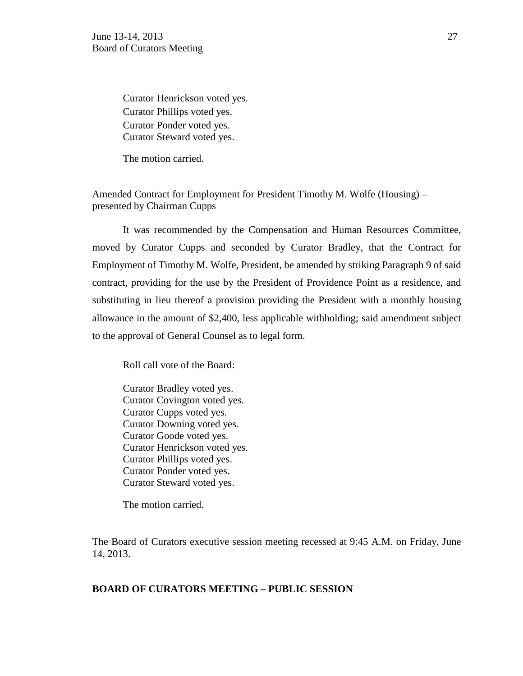Curator Henrickson voted yes. Curator Phillips voted yes. Curator Ponder voted yes. Curator Steward voted yes.

The motion carried.

## Amended Contract for Employment for President Timothy M. Wolfe (Housing) – presented by Chairman Cupps

It was recommended by the Compensation and Human Resources Committee, moved by Curator Cupps and seconded by Curator Bradley, that the Contract for Employment of Timothy M. Wolfe, President, be amended by striking Paragraph 9 of said contract, providing for the use by the President of Providence Point as a residence, and substituting in lieu thereof a provision providing the President with a monthly housing allowance in the amount of \$2,400, less applicable withholding; said amendment subject to the approval of General Counsel as to legal form.

Roll call vote of the Board:

Curator Bradley voted yes. Curator Covington voted yes. Curator Cupps voted yes. Curator Downing voted yes. Curator Goode voted yes. Curator Henrickson voted yes. Curator Phillips voted yes. Curator Ponder voted yes. Curator Steward voted yes.

The motion carried.

The Board of Curators executive session meeting recessed at 9:45 A.M. on Friday, June 14, 2013.

### **BOARD OF CURATORS MEETING – PUBLIC SESSION**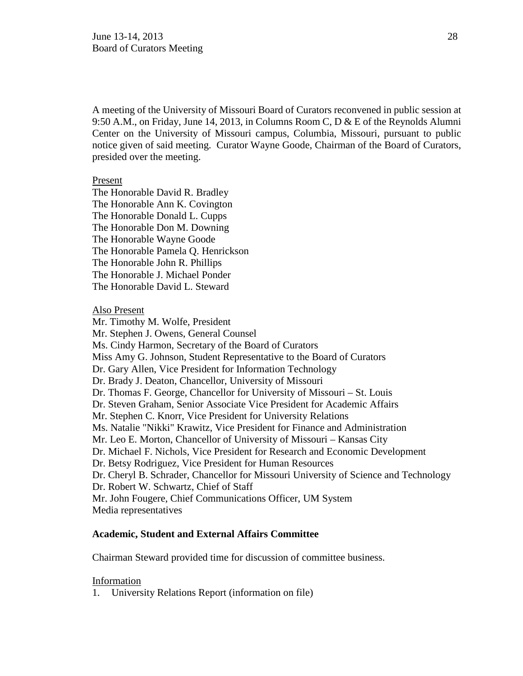A meeting of the University of Missouri Board of Curators reconvened in public session at 9:50 A.M., on Friday, June 14, 2013, in Columns Room C, D & E of the Reynolds Alumni Center on the University of Missouri campus, Columbia, Missouri, pursuant to public notice given of said meeting. Curator Wayne Goode, Chairman of the Board of Curators, presided over the meeting.

### Present

The Honorable David R. Bradley The Honorable Ann K. Covington The Honorable Donald L. Cupps The Honorable Don M. Downing The Honorable Wayne Goode The Honorable Pamela Q. Henrickson The Honorable John R. Phillips The Honorable J. Michael Ponder The Honorable David L. Steward

### Also Present

Mr. Timothy M. Wolfe, President Mr. Stephen J. Owens, General Counsel Ms. Cindy Harmon, Secretary of the Board of Curators Miss Amy G. Johnson, Student Representative to the Board of Curators Dr. Gary Allen, Vice President for Information Technology Dr. Brady J. Deaton, Chancellor, University of Missouri Dr. Thomas F. George, Chancellor for University of Missouri – St. Louis Dr. Steven Graham, Senior Associate Vice President for Academic Affairs Mr. Stephen C. Knorr, Vice President for University Relations Ms. Natalie "Nikki" Krawitz, Vice President for Finance and Administration Mr. Leo E. Morton, Chancellor of University of Missouri – Kansas City Dr. Michael F. Nichols, Vice President for Research and Economic Development Dr. Betsy Rodriguez, Vice President for Human Resources Dr. Cheryl B. Schrader, Chancellor for Missouri University of Science and Technology Dr. Robert W. Schwartz, Chief of Staff Mr. John Fougere, Chief Communications Officer, UM System Media representatives

### **Academic, Student and External Affairs Committee**

Chairman Steward provided time for discussion of committee business.

#### Information

1. University Relations Report (information on file)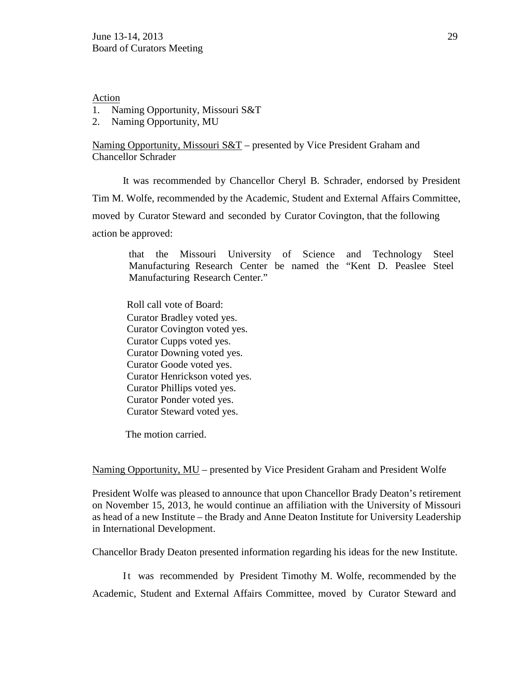Action

- 1. Naming Opportunity, Missouri S&T
- 2. Naming Opportunity, MU

Naming Opportunity, Missouri  $S&T$  – presented by Vice President Graham and Chancellor Schrader

It was recommended by Chancellor Cheryl B. Schrader, endorsed by President Tim M. Wolfe, recommended by the Academic, Student and External Affairs Committee, moved by Curator Steward and seconded by Curator Covington, that the following action be approved:

that the Missouri University of Science and Technology Steel Manufacturing Research Center be named the "Kent D. Peaslee Steel Manufacturing Research Center."

Roll call vote of Board: Curator Bradley voted yes. Curator Covington voted yes. Curator Cupps voted yes. Curator Downing voted yes. Curator Goode voted yes. Curator Henrickson voted yes. Curator Phillips voted yes. Curator Ponder voted yes. Curator Steward voted yes.

The motion carried.

Naming Opportunity, MU – presented by Vice President Graham and President Wolfe

President Wolfe was pleased to announce that upon Chancellor Brady Deaton's retirement on November 15, 2013, he would continue an affiliation with the University of Missouri as head of a new Institute – the Brady and Anne Deaton Institute for University Leadership in International Development.

Chancellor Brady Deaton presented information regarding his ideas for the new Institute.

It was recommended by President Timothy M. Wolfe, recommended by the Academic, Student and External Affairs Committee, moved by Curator Steward and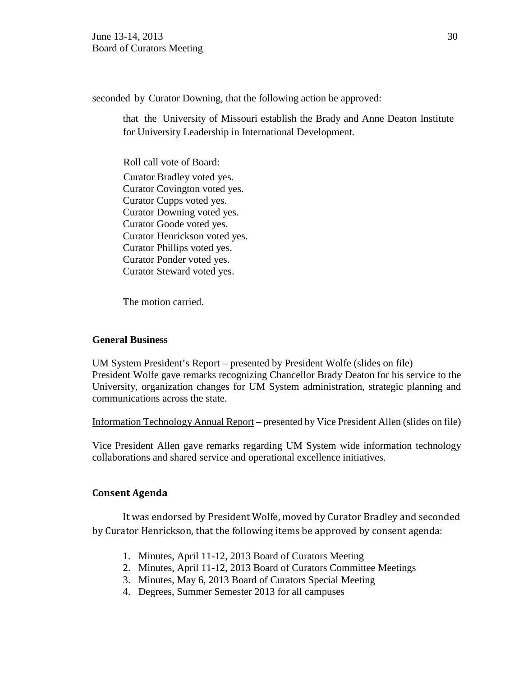seconded by Curator Downing, that the following action be approved:

that the University of Missouri establish the Brady and Anne Deaton Institute for University Leadership in International Development.

Roll call vote of Board: Curator Bradley voted yes. Curator Covington voted yes. Curator Cupps voted yes. Curator Downing voted yes. Curator Goode voted yes. Curator Henrickson voted yes. Curator Phillips voted yes. Curator Ponder voted yes. Curator Steward voted yes.

The motion carried.

## **General Business**

UM System President's Report – presented by President Wolfe (slides on file) President Wolfe gave remarks recognizing Chancellor Brady Deaton for his service to the University, organization changes for UM System administration, strategic planning and communications across the state.

Information Technology Annual Report – presented by Vice President Allen (slides on file)

Vice President Allen gave remarks regarding UM System wide information technology collaborations and shared service and operational excellence initiatives.

## **Consent Agenda**

It was endorsed by President Wolfe, moved by Curator Bradley and seconded by Curator Henrickson, that the following items be approved by consent agenda:

- 1. Minutes, April 11-12, 2013 Board of Curators Meeting
- 2. Minutes, April 11-12, 2013 Board of Curators Committee Meetings
- 3. Minutes, May 6, 2013 Board of Curators Special Meeting
- 4. Degrees, Summer Semester 2013 for all campuses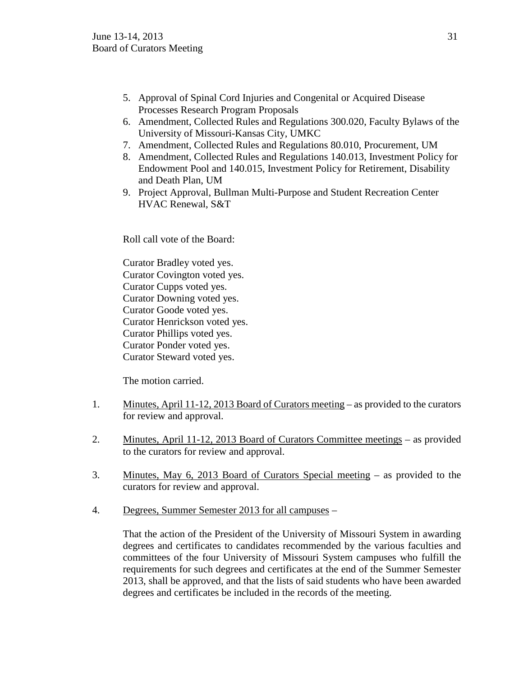- 5. Approval of Spinal Cord Injuries and Congenital or Acquired Disease Processes Research Program Proposals
- 6. Amendment, Collected Rules and Regulations 300.020, Faculty Bylaws of the University of Missouri-Kansas City, UMKC
- 7. Amendment, Collected Rules and Regulations 80.010, Procurement, UM
- 8. Amendment, Collected Rules and Regulations 140.013, Investment Policy for Endowment Pool and 140.015, Investment Policy for Retirement, Disability and Death Plan, UM
- 9. Project Approval, Bullman Multi-Purpose and Student Recreation Center HVAC Renewal, S&T

Roll call vote of the Board:

Curator Bradley voted yes. Curator Covington voted yes. Curator Cupps voted yes. Curator Downing voted yes. Curator Goode voted yes. Curator Henrickson voted yes. Curator Phillips voted yes. Curator Ponder voted yes. Curator Steward voted yes.

The motion carried.

- 1. Minutes, April 11-12, 2013 Board of Curators meeting as provided to the curators for review and approval.
- 2. Minutes, April 11-12, 2013 Board of Curators Committee meetings as provided to the curators for review and approval.
- 3. Minutes, May 6, 2013 Board of Curators Special meeting as provided to the curators for review and approval.
- 4. Degrees, Summer Semester 2013 for all campuses –

That the action of the President of the University of Missouri System in awarding degrees and certificates to candidates recommended by the various faculties and committees of the four University of Missouri System campuses who fulfill the requirements for such degrees and certificates at the end of the Summer Semester 2013, shall be approved, and that the lists of said students who have been awarded degrees and certificates be included in the records of the meeting.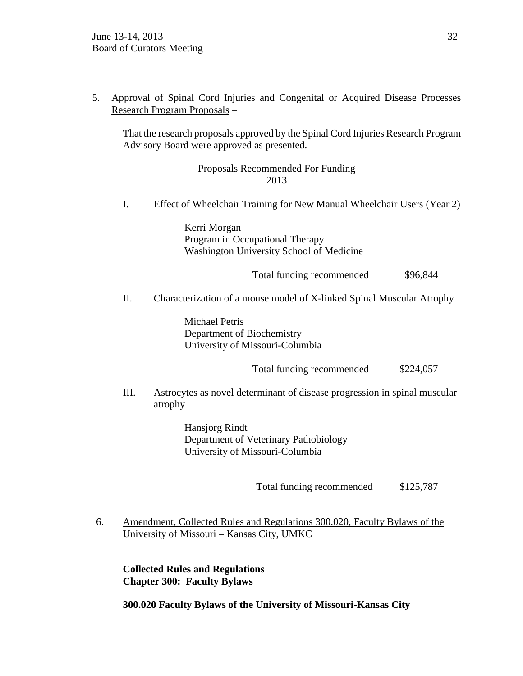5. Approval of Spinal Cord Injuries and Congenital or Acquired Disease Processes Research Program Proposals –

That the research proposals approved by the Spinal Cord Injuries Research Program Advisory Board were approved as presented.

> Proposals Recommended For Funding 2013

I. Effect of Wheelchair Training for New Manual Wheelchair Users (Year 2)

Kerri Morgan Program in Occupational Therapy Washington University School of Medicine

Total funding recommended  $$96,844$ 

II. Characterization of a mouse model of X-linked Spinal Muscular Atrophy

Michael Petris Department of Biochemistry University of Missouri-Columbia

Total funding recommended  $$224,057$ 

III. Astrocytes as novel determinant of disease progression in spinal muscular atrophy

> Hansjorg Rindt Department of Veterinary Pathobiology University of Missouri-Columbia

> > Total funding recommended \$125,787

6. Amendment, Collected Rules and Regulations 300.020, Faculty Bylaws of the University of Missouri – Kansas City, UMKC

**Collected Rules and Regulations Chapter 300: Faculty Bylaws**

**300.020 Faculty Bylaws of the University of Missouri-Kansas City**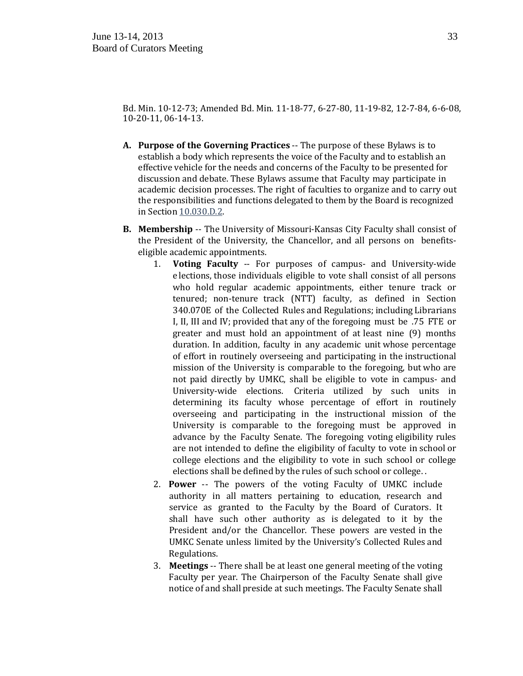Bd. Min. 10-12-73; Amended Bd. Min. 11-18-77, 6-27-80, 11-19-82, 12-7-84, 6-6-08, 10-20-11, 06-14-13.

- **A. Purpose of the Governing Practices** -- The purpose of these Bylaws is to establish a body which represents the voice of the Faculty and to establish an effective vehicle for the needs and concerns of the Faculty to be presented for discussion and debate. These Bylaws assume that Faculty may participate in academic decision processes. The right of faculties to organize and to carry out the responsibilities and functions delegated to them by the Board is recognized in Section [10.030.D.2.](http://www.umsystem.edu/ums/gc/rules/administration/10/030)
- **B. Membership** -- The University of Missouri-Kansas City Faculty shall consist of the President of the University, the Chancellor, and all persons on benefitseligible academic appointments.<br>1. **Voting Faculty --** For
	- **Voting Faculty** -- For purposes of campus- and University-wide e lections, those individuals eligible to vote shall consist of all persons who hold regular academic appointments, either tenure track or tenured; non-tenure track (NTT) faculty, as defined in Section 340.070E of the Collected Rules and Regulations; including Librarians I, II, III and IV; provided that any of the foregoing must be .75 FTE or greater and must hold an appointment of at least nine (9) months duration. In addition, faculty in any academic unit whose percentage of effort in routinely overseeing and participating in the instructional mission of the University is comparable to the foregoing, but who are not paid directly by UMKC, shall be eligible to vote in campus- and University-wide elections. Criteria utilized by such units in determining its faculty whose percentage of effort in routinely overseeing and participating in the instructional mission of the University is comparable to the foregoing must be approved in advance by the Faculty Senate. The foregoing voting eligibility rules are not intended to define the eligibility of faculty to vote in school or college elections and the eligibility to vote in such school or college elections shall be defined by the rules of such school or college. .
	- 2. **Power** -- The powers of the voting Faculty of UMKC include authority in all matters pertaining to education, research and service as granted to the Faculty by the Board of Curators. It shall have such other authority as is delegated to it by the President and/or the Chancellor. These powers are vested in the UMKC Senate unless limited by the University's Collected Rules and Regulations.
	- 3. **Meetings** -- There shall be at least one general meeting of the voting Faculty per year. The Chairperson of the Faculty Senate shall give notice of and shall preside at such meetings. The Faculty Senate shall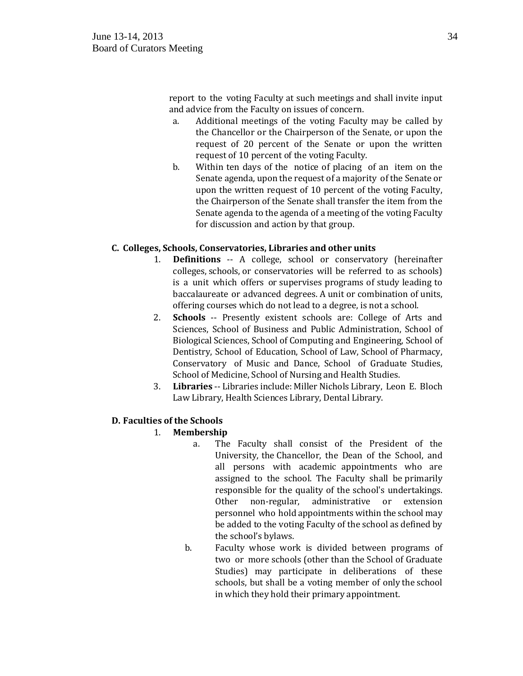report to the voting Faculty at such meetings and shall invite input and advice from the Faculty on issues of concern.

- a. Additional meetings of the voting Faculty may be called by the Chancellor or the Chairperson of the Senate, or upon the request of 20 percent of the Senate or upon the written request of 10 percent of the voting Faculty.
- b. Within ten days of the notice of placing of an item on the Senate agenda, upon the request of a majority of the Senate or upon the written request of 10 percent of the voting Faculty, the Chairperson of the Senate shall transfer the item from the Senate agenda to the agenda of a meeting of the voting Faculty for discussion and action by that group.

## **C. Colleges, Schools, Conservatories, Libraries and other units**

- 1. **Definitions** -- A college, school or conservatory (hereinafter colleges, schools, or conservatories will be referred to as schools) is a unit which offers or supervises programs of study leading to baccalaureate or advanced degrees. A unit or combination of units, offering courses which do not lead to a degree, is not a school.
- 2. **Schools** -- Presently existent schools are: College of Arts and Sciences, School of Business and Public Administration, School of Biological Sciences, School of Computing and Engineering, School of Dentistry, School of Education, School of Law, School of Pharmacy, Conservatory of Music and Dance, School of Graduate Studies, School of Medicine, School of Nursing and Health Studies.
- 3. **Libraries** -- Libraries include: Miller Nichols Library, Leon E. Bloch Law Library, Health Sciences Library, Dental Library.

## **D. Faculties of the Schools**

## 1. **Membership**

- a. The Faculty shall consist of the President of the University, the Chancellor, the Dean of the School, and all persons with academic appointments who are assigned to the school. The Faculty shall be primarily responsible for the quality of the school's undertakings.<br>Other non-regular, administrative or extension administrative personnel who hold appointments within the school may be added to the voting Faculty of the school as defined by the school's bylaws.
- b. Faculty whose work is divided between programs of two or more schools (other than the School of Graduate Studies) may participate in deliberations of these schools, but shall be a voting member of only the school in which they hold their primary appointment.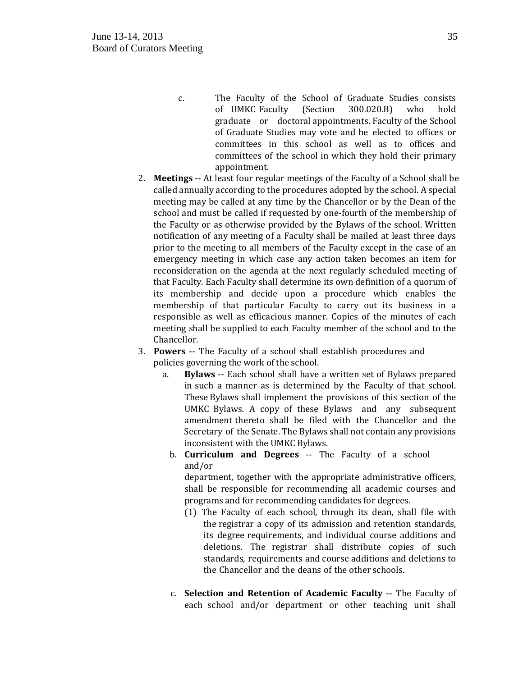- c. The Faculty of the School of Graduate Studies consists<br>of UMKC Faculty (Section 300.020.B) who hold of UMKC Faculty graduate or doctoral appointments. Faculty of the School of Graduate Studies may vote and be elected to offices or committees in this school as well as to offices and committees of the school in which they hold their primary appointment.
- 2. **Meetings** -- At least four regular meetings of the Faculty of a School shall be called annually according to the procedures adopted by the school. A special meeting may be called at any time by the Chancellor or by the Dean of the school and must be called if requested by one-fourth of the membership of the Faculty or as otherwise provided by the Bylaws of the school. Written notification of any meeting of a Faculty shall be mailed at least three days prior to the meeting to all members of the Faculty except in the case of an emergency meeting in which case any action taken becomes an item for reconsideration on the agenda at the next regularly scheduled meeting of that Faculty. Each Faculty shall determine its own definition of a quorum of its membership and decide upon a procedure which enables the membership of that particular Faculty to carry out its business in a responsible as well as efficacious manner. Copies of the minutes of each meeting shall be supplied to each Faculty member of the school and to the Chancellor.
- 3. **Powers** -- The Faculty of a school shall establish procedures and policies governing the work of the school.<br>a. **Bylaws** -- Each school shall have
	- **Bylaws** -- Each school shall have a written set of Bylaws prepared in such a manner as is determined by the Faculty of that school. These Bylaws shall implement the provisions of this section of the UMKC Bylaws. A copy of these Bylaws and any subsequent amendment thereto shall be filed with the Chancellor and the Secretary of the Senate. The Bylaws shall not contain any provisions inconsistent with the UMKC Bylaws.
	- b. **Curriculum and Degrees** -- The Faculty of a school and/or

department, together with the appropriate administrative officers, shall be responsible for recommending all academic courses and programs and for recommending candidates for degrees.

- (1) The Faculty of each school, through its dean, shall file with the registrar a copy of its admission and retention standards, its degree requirements, and individual course additions and deletions. The registrar shall distribute copies of such standards, requirements and course additions and deletions to the Chancellor and the deans of the other schools.
- c. **Selection and Retention of Academic Faculty** -- The Faculty of each school and/or department or other teaching unit shall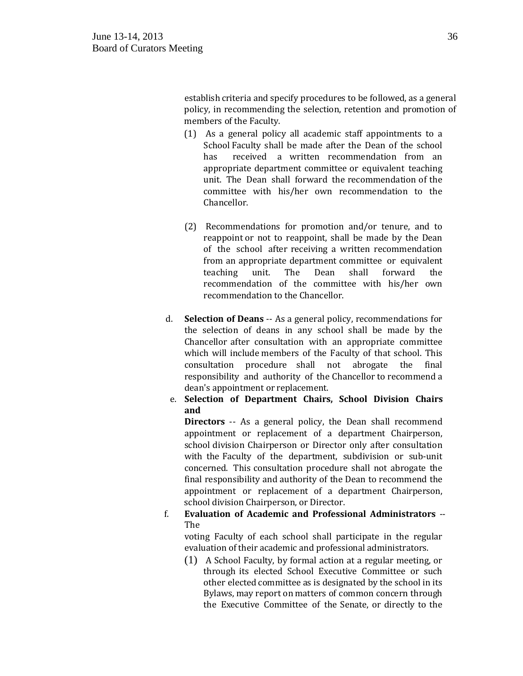establish criteria and specify procedures to be followed, as a general policy, in recommending the selection, retention and promotion of members of the Faculty.

- (1) As a general policy all academic staff appointments to a School Faculty shall be made after the Dean of the school has received a written recommendation from an appropriate department committee or equivalent teaching unit. The Dean shall forward the recommendation of the committee with his/her own recommendation to the Chancellor.
- (2) Recommendations for promotion and/or tenure, and to reappoint or not to reappoint, shall be made by the Dean of the school after receiving a written recommendation from an appropriate department committee or equivalent<br>teaching unit. The Dean shall forward the teaching unit. The Dean shall forward the recommendation of the committee with his/her own recommendation to the Chancellor.
- d. **Selection of Deans** -- As a general policy, recommendations for the selection of deans in any school shall be made by the Chancellor after consultation with an appropriate committee which will include members of the Faculty of that school. This<br>consultation procedure shall not abrogate the final consultation procedure shall not abrogate the responsibility and authority of the Chancellor to recommend a dean's appointment or replacement.
- e. **Selection of Department Chairs, School Division Chairs and**

**Directors** -- As a general policy, the Dean shall recommend appointment or replacement of a department Chairperson, school division Chairperson or Director only after consultation with the Faculty of the department, subdivision or sub-unit concerned. This consultation procedure shall not abrogate the final responsibility and authority of the Dean to recommend the appointment or replacement of a department Chairperson, school division Chairperson, or Director.

### f. **Evaluation of Academic and Professional Administrators** -- The

voting Faculty of each school shall participate in the regular evaluation of their academic and professional administrators.

(1) A School Faculty, by formal action at a regular meeting, or through its elected School Executive Committee or such other elected committee as is designated by the school in its Bylaws, may report on matters of common concern through the Executive Committee of the Senate, or directly to the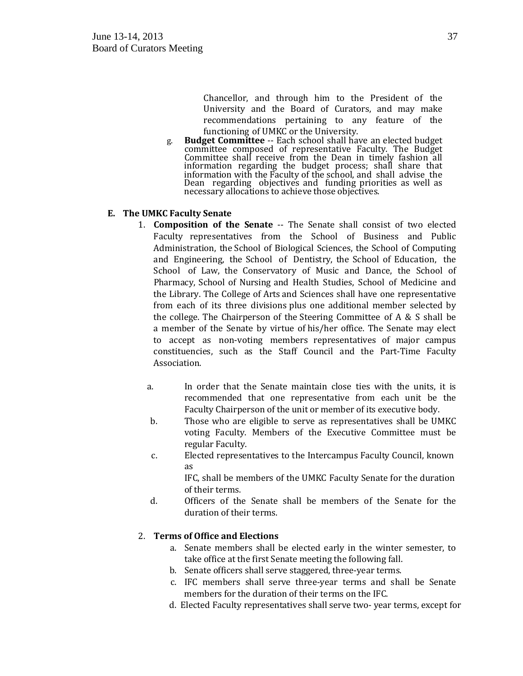Chancellor, and through him to the President of the University and the Board of Curators, and may make recommendations pertaining to any feature of the functioning of UMKC or the University.

g. **Budget Committee** -- Each school shall have an elected budget committee composed of representative Faculty. The Budget Committee shall receive from the Dean in timely fashion all information regarding the budget process; shall share that information with the Faculty of the school, and shall advise the Dean regarding objectives and funding priorities as well as necessary allocations to achieve those objectives.

### **E. The UMKC Faculty Senate**

- 1. **Composition of the Senate** -- The Senate shall consist of two elected Faculty representatives from the School of Business and Public Administration, the School of Biological Sciences, the School of Computing and Engineering, the School of Dentistry, the School of Education, the School of Law, the Conservatory of Music and Dance, the School of Pharmacy, School of Nursing and Health Studies, School of Medicine and the Library. The College of Arts and Sciences shall have one representative from each of its three divisions plus one additional member selected by the college. The Chairperson of the Steering Committee of  $A \& S$  shall be a member of the Senate by virtue of his/her office. The Senate may elect to accept as non-voting members representatives of major campus constituencies, such as the Staff Council and the Part-Time Faculty Association.
	- a. In order that the Senate maintain close ties with the units, it is recommended that one representative from each unit be the Faculty Chairperson of the unit or member of its executive body.
	- b. Those who are eligible to serve as representatives shall be UMKC voting Faculty. Members of the Executive Committee must be regular Faculty.
	- c. Elected representatives to the Intercampus Faculty Council, known as

IFC, shall be members of the UMKC Faculty Senate for the duration of their terms.

d. Officers of the Senate shall be members of the Senate for the duration of their terms.

### 2. **Terms of Office and Elections**

- a. Senate members shall be elected early in the winter semester, to take office at the first Senate meeting the following fall.
- b. Senate officers shall serve staggered, three-year terms.
- c. IFC members shall serve three-year terms and shall be Senate members for the duration of their terms on the IFC.
- d. Elected Faculty representatives shall serve two- year terms, except for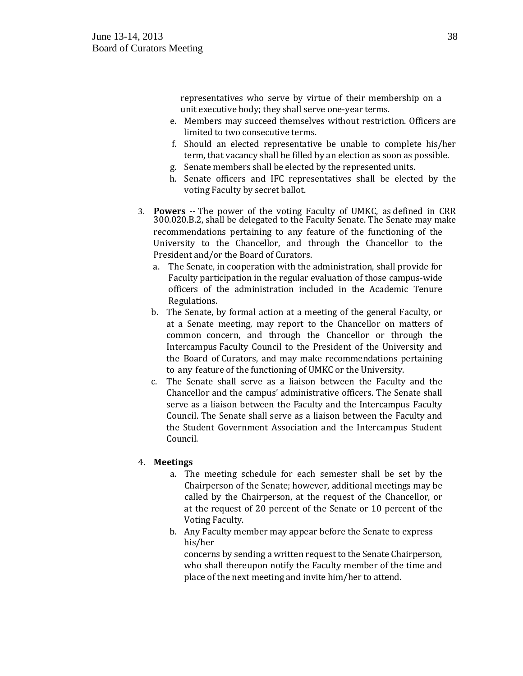representatives who serve by virtue of their membership on a unit executive body; they shall serve one-year terms.

- e. Members may succeed themselves without restriction. Officers are limited to two consecutive terms.
- f. Should an elected representative be unable to complete his/her term, that vacancy shall be filled by an election as soon as possible.
- g. Senate members shall be elected by the represented units.
- h. Senate officers and IFC representatives shall be elected by the voting Faculty by secret ballot.
- 3. **Powers** -- The power of the voting Faculty of UMKC, as defined in CRR 300.020.B.2, shall be delegated to the Faculty Senate. The Senate may make recommendations pertaining to any feature of the functioning of the University to the Chancellor, and through the Chancellor to the President and/or the Board of Curators.
	- a. The Senate, in cooperation with the administration, shall provide for Faculty participation in the regular evaluation of those campus-wide officers of the administration included in the Academic Tenure Regulations.
	- b. The Senate, by formal action at a meeting of the general Faculty, or at a Senate meeting, may report to the Chancellor on matters of common concern, and through the Chancellor or through the Intercampus Faculty Council to the President of the University and the Board of Curators, and may make recommendations pertaining to any feature of the functioning of UMKC or the University.
	- c. The Senate shall serve as a liaison between the Faculty and the Chancellor and the campus' administrative officers. The Senate shall serve as a liaison between the Faculty and the Intercampus Faculty Council. The Senate shall serve as a liaison between the Faculty and the Student Government Association and the Intercampus Student Council.

### 4. **Meetings**

- a. The meeting schedule for each semester shall be set by the Chairperson of the Senate; however, additional meetings may be called by the Chairperson, at the request of the Chancellor, or at the request of 20 percent of the Senate or 10 percent of the Voting Faculty.
- b. Any Faculty member may appear before the Senate to express his/her

concerns by sending a written request to the Senate Chairperson, who shall thereupon notify the Faculty member of the time and place of the next meeting and invite him/her to attend.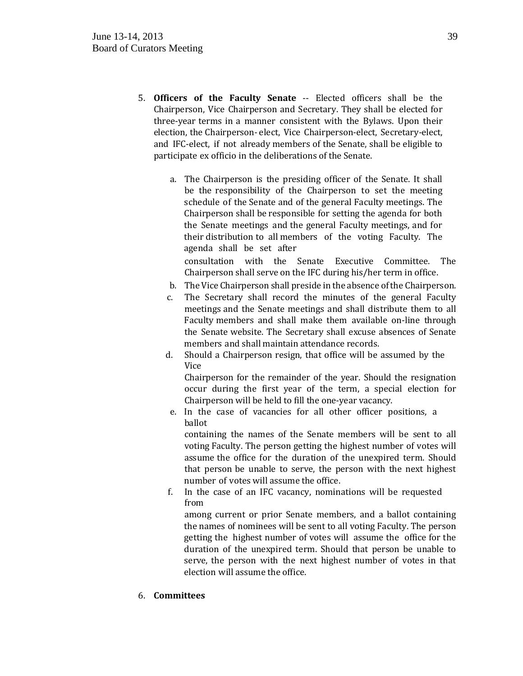- 5. **Officers of the Faculty Senate** -- Elected officers shall be the Chairperson, Vice Chairperson and Secretary. They shall be elected for three-year terms in a manner consistent with the Bylaws. Upon their election, the Chairperson- elect, Vice Chairperson-elect, Secretary-elect, and IFC-elect, if not already members of the Senate, shall be eligible to participate ex officio in the deliberations of the Senate.
	- a. The Chairperson is the presiding officer of the Senate. It shall be the responsibility of the Chairperson to set the meeting schedule of the Senate and of the general Faculty meetings. The Chairperson shall be responsible for setting the agenda for both the Senate meetings and the general Faculty meetings, and for their distribution to all members of the voting Faculty. The agenda shall be set after

consultation with the Senate Executive Committee. The Chairperson shall serve on the IFC during his/her term in office.

- b. The Vice Chairperson shall preside in the absence of the Chairperson.
- c. The Secretary shall record the minutes of the general Faculty meetings and the Senate meetings and shall distribute them to all Faculty members and shall make them available on-line through the Senate website. The Secretary shall excuse absences of Senate members and shall maintain attendance records.
- d. Should a Chairperson resign, that office will be assumed by the Vice

Chairperson for the remainder of the year. Should the resignation occur during the first year of the term, a special election for Chairperson will be held to fill the one-year vacancy.

e. In the case of vacancies for all other officer positions, a ballot

containing the names of the Senate members will be sent to all voting Faculty. The person getting the highest number of votes will assume the office for the duration of the unexpired term. Should that person be unable to serve, the person with the next highest number of votes will assume the office.

f. In the case of an IFC vacancy, nominations will be requested from

among current or prior Senate members, and a ballot containing the names of nominees will be sent to all voting Faculty. The person getting the highest number of votes will assume the office for the duration of the unexpired term. Should that person be unable to serve, the person with the next highest number of votes in that election will assume the office.

6. **Committees**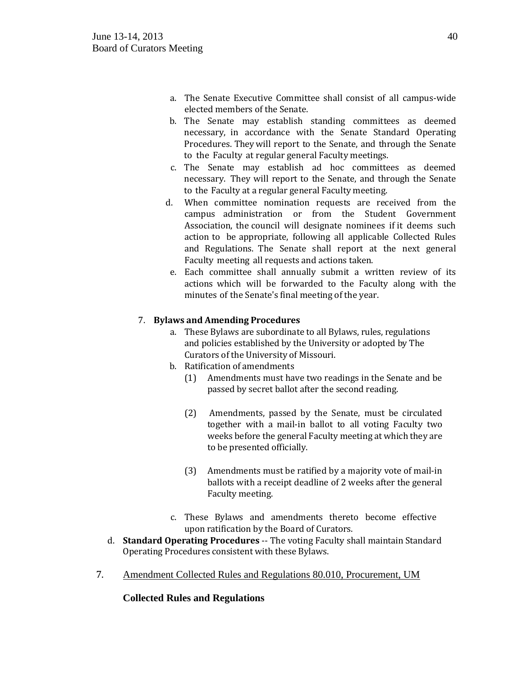- a. The Senate Executive Committee shall consist of all campus-wide elected members of the Senate.
- b. The Senate may establish standing committees as deemed necessary, in accordance with the Senate Standard Operating Procedures. They will report to the Senate, and through the Senate to the Faculty at regular general Faculty meetings.
- c. The Senate may establish ad hoc committees as deemed necessary. They will report to the Senate, and through the Senate to the Faculty at a regular general Faculty meeting.
- d. When committee nomination requests are received from the campus administration or from the Student Government Association, the council will designate nominees if it deems such action to be appropriate, following all applicable Collected Rules and Regulations. The Senate shall report at the next general Faculty meeting all requests and actions taken.
- e. Each committee shall annually submit a written review of its actions which will be forwarded to the Faculty along with the minutes of the Senate's final meeting of the year.

## 7. **Bylaws and Amending Procedures**

- a. These Bylaws are subordinate to all Bylaws, rules, regulations and policies established by the University or adopted by The Curators of the University of Missouri.
- b. Ratification of amendments
	- (1) Amendments must have two readings in the Senate and be passed by secret ballot after the second reading.
	- (2) Amendments, passed by the Senate, must be circulated together with a mail-in ballot to all voting Faculty two weeks before the general Faculty meeting at which they are to be presented officially.
	- (3) Amendments must be ratified by a majority vote of mail-in ballots with a receipt deadline of 2 weeks after the general Faculty meeting.
- c. These Bylaws and amendments thereto become effective upon ratification by the Board of Curators.
- d. **Standard Operating Procedures** -- The voting Faculty shall maintain Standard Operating Procedures consistent with these Bylaws.
- 7. Amendment Collected Rules and Regulations 80.010, Procurement, UM

**Collected Rules and Regulations**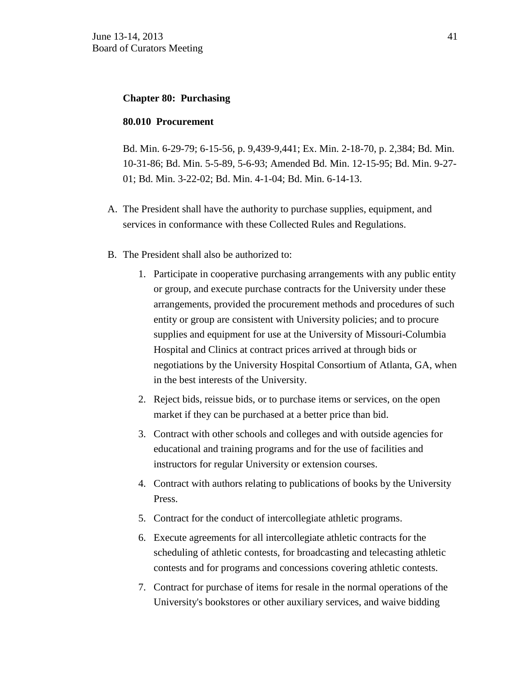### **Chapter 80: Purchasing**

### **80.010 Procurement**

Bd. Min. 6-29-79; 6-15-56, p. 9,439-9,441; Ex. Min. 2-18-70, p. 2,384; Bd. Min. 10-31-86; Bd. Min. 5-5-89, 5-6-93; Amended Bd. Min. 12-15-95; Bd. Min. 9-27- 01; Bd. Min. 3-22-02; Bd. Min. 4-1-04; Bd. Min. 6-14-13.

- A. The President shall have the authority to purchase supplies, equipment, and services in conformance with these Collected Rules and Regulations.
- B. The President shall also be authorized to:
	- 1. Participate in cooperative purchasing arrangements with any public entity or group, and execute purchase contracts for the University under these arrangements, provided the procurement methods and procedures of such entity or group are consistent with University policies; and to procure supplies and equipment for use at the University of Missouri-Columbia Hospital and Clinics at contract prices arrived at through bids or negotiations by the University Hospital Consortium of Atlanta, GA, when in the best interests of the University.
	- 2. Reject bids, reissue bids, or to purchase items or services, on the open market if they can be purchased at a better price than bid.
	- 3. Contract with other schools and colleges and with outside agencies for educational and training programs and for the use of facilities and instructors for regular University or extension courses.
	- 4. Contract with authors relating to publications of books by the University Press.
	- 5. Contract for the conduct of intercollegiate athletic programs.
	- 6. Execute agreements for all intercollegiate athletic contracts for the scheduling of athletic contests, for broadcasting and telecasting athletic contests and for programs and concessions covering athletic contests.
	- 7. Contract for purchase of items for resale in the normal operations of the University's bookstores or other auxiliary services, and waive bidding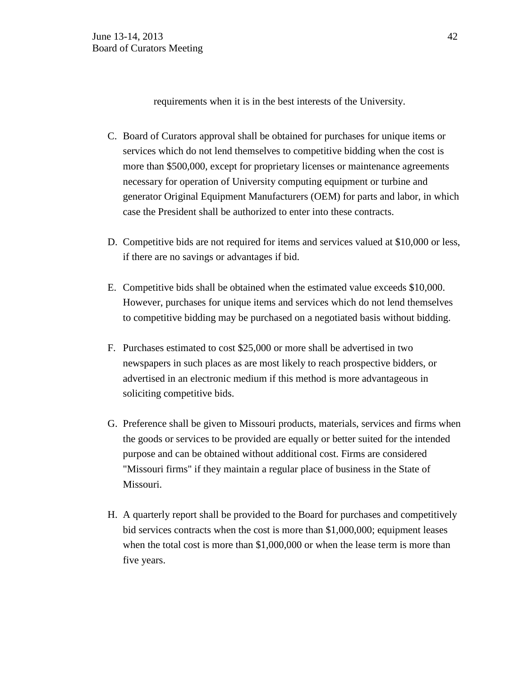requirements when it is in the best interests of the University.

- C. Board of Curators approval shall be obtained for purchases for unique items or services which do not lend themselves to competitive bidding when the cost is more than \$500,000, except for proprietary licenses or maintenance agreements necessary for operation of University computing equipment or turbine and generator Original Equipment Manufacturers (OEM) for parts and labor, in which case the President shall be authorized to enter into these contracts.
- D. Competitive bids are not required for items and services valued at \$10,000 or less, if there are no savings or advantages if bid.
- E. Competitive bids shall be obtained when the estimated value exceeds \$10,000. However, purchases for unique items and services which do not lend themselves to competitive bidding may be purchased on a negotiated basis without bidding.
- F. Purchases estimated to cost \$25,000 or more shall be advertised in two newspapers in such places as are most likely to reach prospective bidders, or advertised in an electronic medium if this method is more advantageous in soliciting competitive bids.
- G. Preference shall be given to Missouri products, materials, services and firms when the goods or services to be provided are equally or better suited for the intended purpose and can be obtained without additional cost. Firms are considered "Missouri firms" if they maintain a regular place of business in the State of Missouri.
- H. A quarterly report shall be provided to the Board for purchases and competitively bid services contracts when the cost is more than \$1,000,000; equipment leases when the total cost is more than \$1,000,000 or when the lease term is more than five years.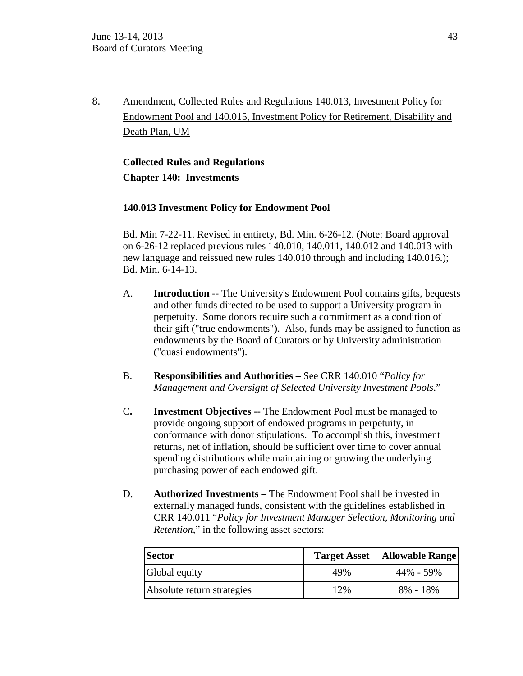8. Amendment, Collected Rules and Regulations 140.013, Investment Policy for Endowment Pool and 140.015, Investment Policy for Retirement, Disability and Death Plan, UM

# **Collected Rules and Regulations Chapter 140: Investments**

## **140.013 Investment Policy for Endowment Pool**

Bd. Min 7-22-11. Revised in entirety, Bd. Min. 6-26-12. (Note: Board approval on 6-26-12 replaced previous rules 140.010, 140.011, 140.012 and 140.013 with new language and reissued new rules 140.010 through and including 140.016.); Bd. Min. 6-14-13.

- A. **Introduction** -- The University's Endowment Pool contains gifts, bequests and other funds directed to be used to support a University program in perpetuity. Some donors require such a commitment as a condition of their gift ("true endowments"). Also, funds may be assigned to function as endowments by the Board of Curators or by University administration ("quasi endowments").
- B. **Responsibilities and Authorities –** See CRR 140.010 "*Policy for Management and Oversight of Selected University Investment Pools*."
- C**. Investment Objectives --** The Endowment Pool must be managed to provide ongoing support of endowed programs in perpetuity, in conformance with donor stipulations. To accomplish this, investment returns, net of inflation, should be sufficient over time to cover annual spending distributions while maintaining or growing the underlying purchasing power of each endowed gift.
- D. **Authorized Investments –** The Endowment Pool shall be invested in externally managed funds, consistent with the guidelines established in CRR 140.011 "*Policy for Investment Manager Selection, Monitoring and Retention*," in the following asset sectors:

| <b>Sector</b>              | <b>Target Asset</b> | <b>Allowable Range</b> |
|----------------------------|---------------------|------------------------|
| Global equity              | 49%                 | 44% - 59%              |
| Absolute return strategies | 12%                 | $8\% - 18\%$           |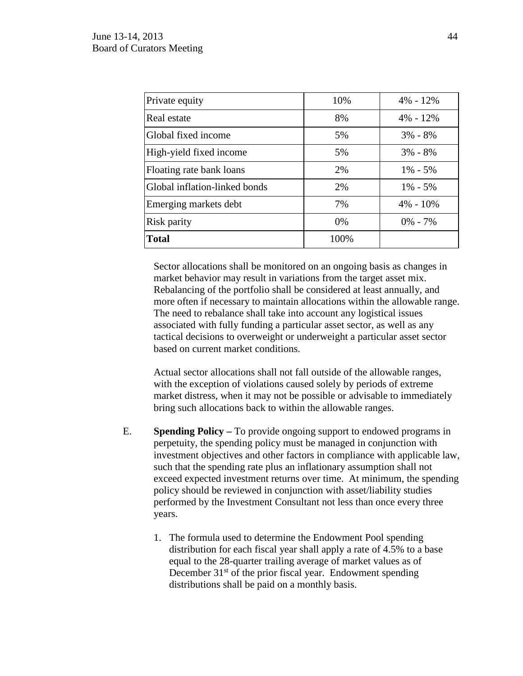| Private equity                | 10%   | $4\% - 12\%$ |
|-------------------------------|-------|--------------|
| Real estate                   | 8%    | $4\% - 12\%$ |
| Global fixed income           | 5%    | $3\% - 8\%$  |
| High-yield fixed income       | 5%    | $3\% - 8\%$  |
| Floating rate bank loans      | 2%    | $1\% - 5\%$  |
| Global inflation-linked bonds | 2%    | $1\% - 5\%$  |
| Emerging markets debt         | 7%    | $4\% - 10\%$ |
| Risk parity                   | $0\%$ | $0\% - 7\%$  |
| <b>Total</b>                  | 100%  |              |

Sector allocations shall be monitored on an ongoing basis as changes in market behavior may result in variations from the target asset mix. Rebalancing of the portfolio shall be considered at least annually, and more often if necessary to maintain allocations within the allowable range. The need to rebalance shall take into account any logistical issues associated with fully funding a particular asset sector, as well as any tactical decisions to overweight or underweight a particular asset sector based on current market conditions.

Actual sector allocations shall not fall outside of the allowable ranges, with the exception of violations caused solely by periods of extreme market distress, when it may not be possible or advisable to immediately bring such allocations back to within the allowable ranges.

- E. **Spending Policy –** To provide ongoing support to endowed programs in perpetuity, the spending policy must be managed in conjunction with investment objectives and other factors in compliance with applicable law, such that the spending rate plus an inflationary assumption shall not exceed expected investment returns over time. At minimum, the spending policy should be reviewed in conjunction with asset/liability studies performed by the Investment Consultant not less than once every three years.
	- 1. The formula used to determine the Endowment Pool spending distribution for each fiscal year shall apply a rate of 4.5% to a base equal to the 28-quarter trailing average of market values as of December  $31<sup>st</sup>$  of the prior fiscal year. Endowment spending distributions shall be paid on a monthly basis.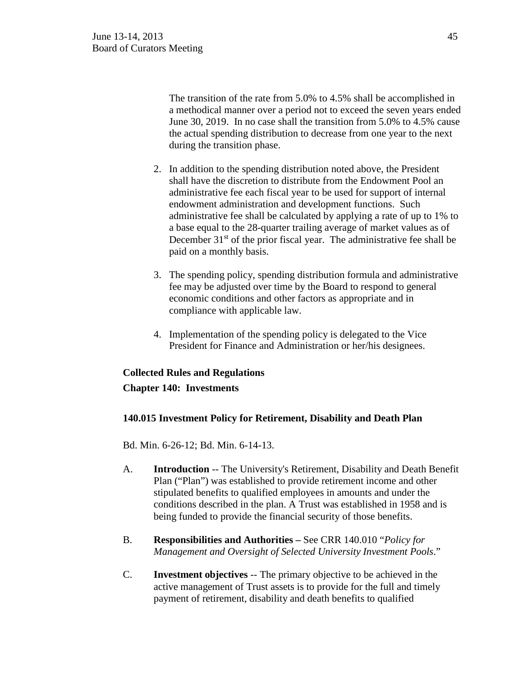The transition of the rate from 5.0% to 4.5% shall be accomplished in a methodical manner over a period not to exceed the seven years ended June 30, 2019. In no case shall the transition from 5.0% to 4.5% cause the actual spending distribution to decrease from one year to the next during the transition phase.

- 2. In addition to the spending distribution noted above, the President shall have the discretion to distribute from the Endowment Pool an administrative fee each fiscal year to be used for support of internal endowment administration and development functions. Such administrative fee shall be calculated by applying a rate of up to 1% to a base equal to the 28-quarter trailing average of market values as of December 31<sup>st</sup> of the prior fiscal year. The administrative fee shall be paid on a monthly basis.
- 3. The spending policy, spending distribution formula and administrative fee may be adjusted over time by the Board to respond to general economic conditions and other factors as appropriate and in compliance with applicable law.
- 4. Implementation of the spending policy is delegated to the Vice President for Finance and Administration or her/his designees.

# **Collected Rules and Regulations Chapter 140: Investments**

## **140.015 Investment Policy for Retirement, Disability and Death Plan**

Bd. Min. 6-26-12; Bd. Min. 6-14-13.

- A. **Introduction** -- The University's Retirement, Disability and Death Benefit Plan ("Plan") was established to provide retirement income and other stipulated benefits to qualified employees in amounts and under the conditions described in the plan. A Trust was established in 1958 and is being funded to provide the financial security of those benefits.
- B. **Responsibilities and Authorities –** See CRR 140.010 "*Policy for Management and Oversight of Selected University Investment Pools*."
- C. **Investment objectives** -- The primary objective to be achieved in the active management of Trust assets is to provide for the full and timely payment of retirement, disability and death benefits to qualified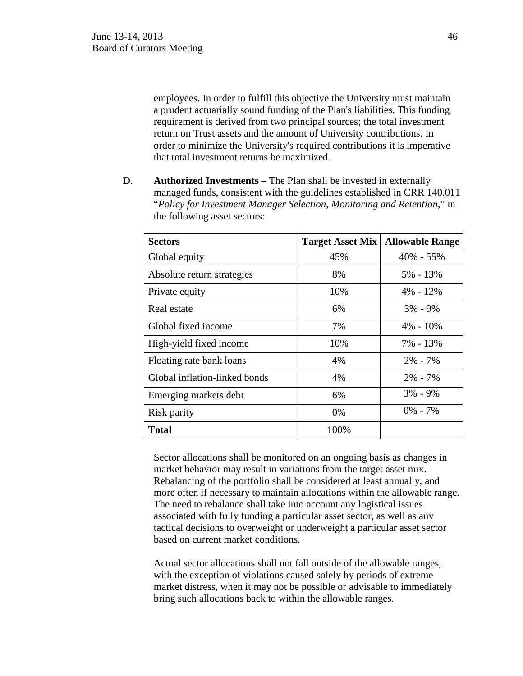employees. In order to fulfill this objective the University must maintain a prudent actuarially sound funding of the Plan's liabilities. This funding requirement is derived from two principal sources; the total investment return on Trust assets and the amount of University contributions. In order to minimize the University's required contributions it is imperative that total investment returns be maximized.

D. **Authorized Investments –** The Plan shall be invested in externally managed funds, consistent with the guidelines established in CRR 140.011 "*Policy for Investment Manager Selection, Monitoring and Retention*," in the following asset sectors:

| <b>Sectors</b>                | <b>Target Asset Mix</b> | <b>Allowable Range</b> |
|-------------------------------|-------------------------|------------------------|
| Global equity                 | 45%                     | $40\% - 55\%$          |
| Absolute return strategies    | 8%                      | 5% - 13%               |
| Private equity                | 10%                     | $4\% - 12\%$           |
| Real estate                   | 6%                      | $3\% - 9\%$            |
| Global fixed income           | 7%                      | $4\% - 10\%$           |
| High-yield fixed income       | 10%                     | 7% - 13%               |
| Floating rate bank loans      | 4%                      | $2\% - 7\%$            |
| Global inflation-linked bonds | 4%                      | $2\% - 7\%$            |
| Emerging markets debt         | 6%                      | $3\% - 9\%$            |
| Risk parity                   | 0%                      | $0\% - 7\%$            |
| <b>Total</b>                  | 100%                    |                        |

Sector allocations shall be monitored on an ongoing basis as changes in market behavior may result in variations from the target asset mix. Rebalancing of the portfolio shall be considered at least annually, and more often if necessary to maintain allocations within the allowable range. The need to rebalance shall take into account any logistical issues associated with fully funding a particular asset sector, as well as any tactical decisions to overweight or underweight a particular asset sector based on current market conditions.

Actual sector allocations shall not fall outside of the allowable ranges, with the exception of violations caused solely by periods of extreme market distress, when it may not be possible or advisable to immediately bring such allocations back to within the allowable ranges.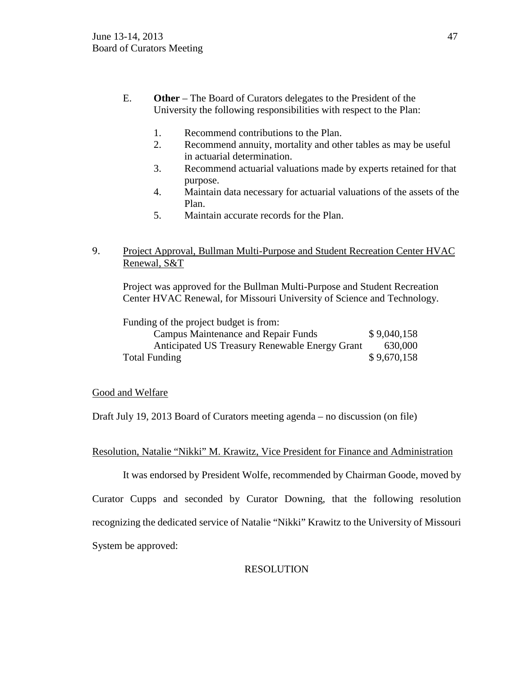- E. **Other** The Board of Curators delegates to the President of the University the following responsibilities with respect to the Plan:
	- 1. Recommend contributions to the Plan.
	- 2. Recommend annuity, mortality and other tables as may be useful in actuarial determination.
	- 3. Recommend actuarial valuations made by experts retained for that purpose.
	- 4. Maintain data necessary for actuarial valuations of the assets of the Plan.
	- 5. Maintain accurate records for the Plan.

## 9. Project Approval, Bullman Multi-Purpose and Student Recreation Center HVAC Renewal, S&T

Project was approved for the Bullman Multi-Purpose and Student Recreation Center HVAC Renewal, for Missouri University of Science and Technology.

Funding of the project budget is from:

| Campus Maintenance and Repair Funds            | \$9,040,158 |
|------------------------------------------------|-------------|
| Anticipated US Treasury Renewable Energy Grant | 630,000     |
| <b>Total Funding</b>                           | \$9,670,158 |

## Good and Welfare

Draft July 19, 2013 Board of Curators meeting agenda – no discussion (on file)

Resolution, Natalie "Nikki" M. Krawitz, Vice President for Finance and Administration

It was endorsed by President Wolfe, recommended by Chairman Goode, moved by

Curator Cupps and seconded by Curator Downing, that the following resolution recognizing the dedicated service of Natalie "Nikki" Krawitz to the University of Missouri System be approved:

## RESOLUTION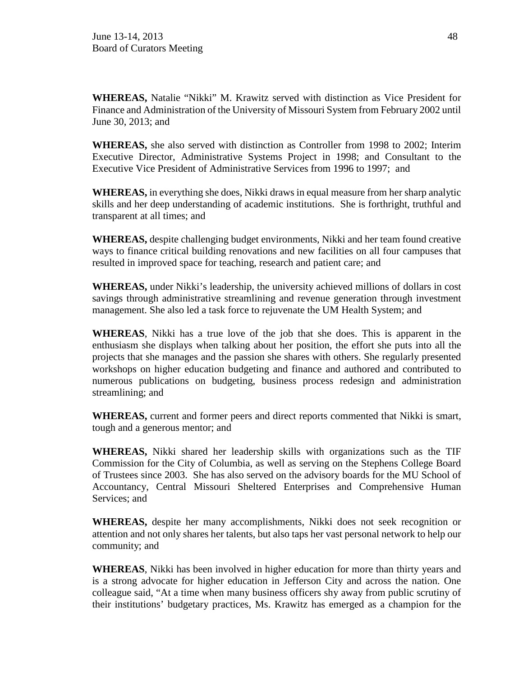**WHEREAS,** Natalie "Nikki" M. Krawitz served with distinction as Vice President for Finance and Administration of the University of Missouri System from February 2002 until June 30, 2013; and

**WHEREAS,** she also served with distinction as Controller from 1998 to 2002; Interim Executive Director, Administrative Systems Project in 1998; and Consultant to the Executive Vice President of Administrative Services from 1996 to 1997; and

**WHEREAS,** in everything she does, Nikki draws in equal measure from her sharp analytic skills and her deep understanding of academic institutions. She is forthright, truthful and transparent at all times; and

**WHEREAS,** despite challenging budget environments, Nikki and her team found creative ways to finance critical building renovations and new facilities on all four campuses that resulted in improved space for teaching, research and patient care; and

**WHEREAS,** under Nikki's leadership, the university achieved millions of dollars in cost savings through administrative streamlining and revenue generation through investment management. She also led a task force to rejuvenate the UM Health System; and

**WHEREAS**, Nikki has a true love of the job that she does. This is apparent in the enthusiasm she displays when talking about her position, the effort she puts into all the projects that she manages and the passion she shares with others. She regularly presented workshops on higher education budgeting and finance and authored and contributed to numerous publications on budgeting, business process redesign and administration streamlining; and

**WHEREAS,** current and former peers and direct reports commented that Nikki is smart, tough and a generous mentor; and

**WHEREAS,** Nikki shared her leadership skills with organizations such as the TIF Commission for the City of Columbia, as well as serving on the Stephens College Board of Trustees since 2003. She has also served on the advisory boards for the MU School of Accountancy, Central Missouri Sheltered Enterprises and Comprehensive Human Services; and

**WHEREAS,** despite her many accomplishments, Nikki does not seek recognition or attention and not only shares her talents, but also taps her vast personal network to help our community; and

**WHEREAS**, Nikki has been involved in higher education for more than thirty years and is a strong advocate for higher education in Jefferson City and across the nation. One colleague said, "At a time when many business officers shy away from public scrutiny of their institutions' budgetary practices, Ms. Krawitz has emerged as a champion for the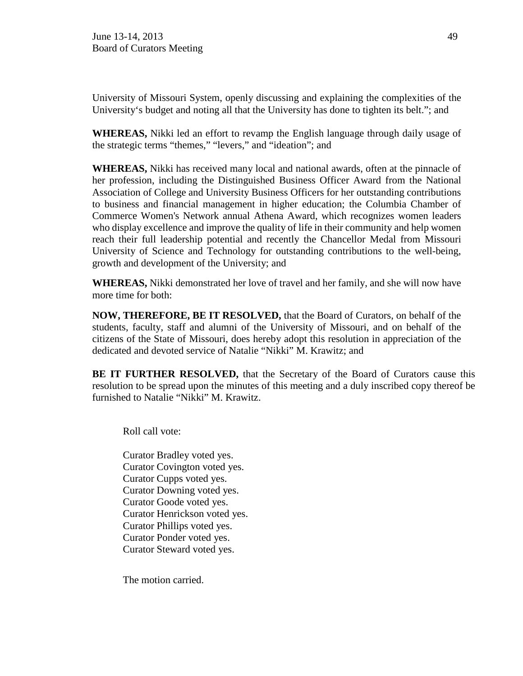University of Missouri System, openly discussing and explaining the complexities of the University's budget and noting all that the University has done to tighten its belt."; and

**WHEREAS,** Nikki led an effort to revamp the English language through daily usage of the strategic terms "themes," "levers," and "ideation"; and

**WHEREAS,** Nikki has received many local and national awards, often at the pinnacle of her profession, including the Distinguished Business Officer Award from the National Association of College and University Business Officers for her outstanding contributions to business and financial management in higher education; the Columbia Chamber of Commerce Women's Network annual Athena Award, which recognizes women leaders who display excellence and improve the quality of life in their community and help women reach their full leadership potential and recently the Chancellor Medal from Missouri University of Science and Technology for outstanding contributions to the well-being, growth and development of the University; and

**WHEREAS,** Nikki demonstrated her love of travel and her family, and she will now have more time for both:

**NOW, THEREFORE, BE IT RESOLVED,** that the Board of Curators, on behalf of the students, faculty, staff and alumni of the University of Missouri, and on behalf of the citizens of the State of Missouri, does hereby adopt this resolution in appreciation of the dedicated and devoted service of Natalie "Nikki" M. Krawitz; and

**BE IT FURTHER RESOLVED,** that the Secretary of the Board of Curators cause this resolution to be spread upon the minutes of this meeting and a duly inscribed copy thereof be furnished to Natalie "Nikki" M. Krawitz.

Roll call vote:

Curator Bradley voted yes. Curator Covington voted yes. Curator Cupps voted yes. Curator Downing voted yes. Curator Goode voted yes. Curator Henrickson voted yes. Curator Phillips voted yes. Curator Ponder voted yes. Curator Steward voted yes.

The motion carried.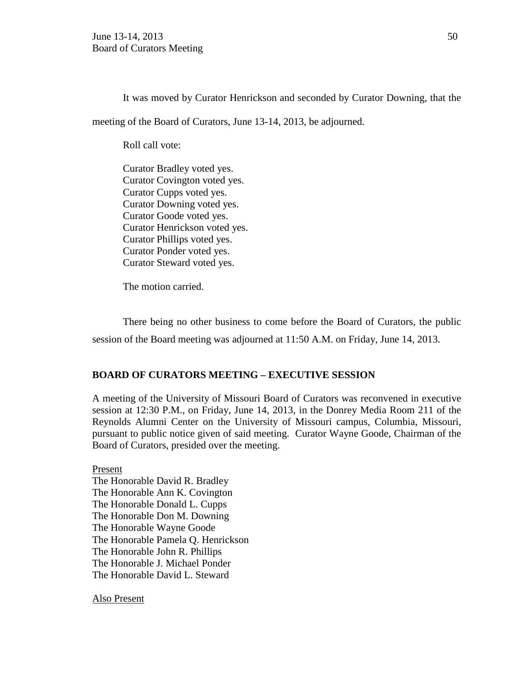It was moved by Curator Henrickson and seconded by Curator Downing, that the meeting of the Board of Curators, June 13-14, 2013, be adjourned.

Roll call vote:

Curator Bradley voted yes. Curator Covington voted yes. Curator Cupps voted yes. Curator Downing voted yes. Curator Goode voted yes. Curator Henrickson voted yes. Curator Phillips voted yes. Curator Ponder voted yes. Curator Steward voted yes.

The motion carried.

There being no other business to come before the Board of Curators, the public session of the Board meeting was adjourned at 11:50 A.M. on Friday, June 14, 2013.

## **BOARD OF CURATORS MEETING – EXECUTIVE SESSION**

A meeting of the University of Missouri Board of Curators was reconvened in executive session at 12:30 P.M., on Friday, June 14, 2013, in the Donrey Media Room 211 of the Reynolds Alumni Center on the University of Missouri campus, Columbia, Missouri, pursuant to public notice given of said meeting. Curator Wayne Goode, Chairman of the Board of Curators, presided over the meeting.

Present The Honorable David R. Bradley The Honorable Ann K. Covington The Honorable Donald L. Cupps The Honorable Don M. Downing The Honorable Wayne Goode The Honorable Pamela Q. Henrickson The Honorable John R. Phillips The Honorable J. Michael Ponder The Honorable David L. Steward

Also Present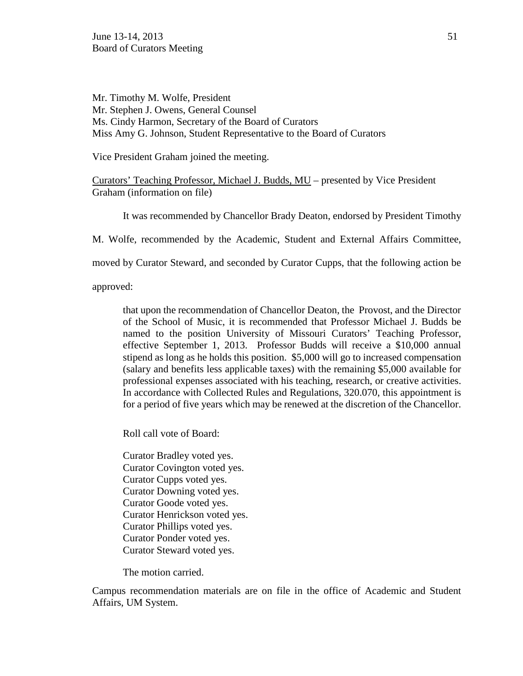Mr. Timothy M. Wolfe, President Mr. Stephen J. Owens, General Counsel Ms. Cindy Harmon, Secretary of the Board of Curators Miss Amy G. Johnson, Student Representative to the Board of Curators

Vice President Graham joined the meeting.

Curators' Teaching Professor, Michael J. Budds, MU – presented by Vice President Graham (information on file)

It was recommended by Chancellor Brady Deaton, endorsed by President Timothy

M. Wolfe, recommended by the Academic, Student and External Affairs Committee,

moved by Curator Steward, and seconded by Curator Cupps, that the following action be

approved:

that upon the recommendation of Chancellor Deaton, the Provost, and the Director of the School of Music, it is recommended that Professor Michael J. Budds be named to the position University of Missouri Curators' Teaching Professor, effective September 1, 2013. Professor Budds will receive a \$10,000 annual stipend as long as he holds this position. \$5,000 will go to increased compensation (salary and benefits less applicable taxes) with the remaining \$5,000 available for professional expenses associated with his teaching, research, or creative activities. In accordance with Collected Rules and Regulations, 320.070, this appointment is for a period of five years which may be renewed at the discretion of the Chancellor.

Roll call vote of Board:

Curator Bradley voted yes. Curator Covington voted yes. Curator Cupps voted yes. Curator Downing voted yes. Curator Goode voted yes. Curator Henrickson voted yes. Curator Phillips voted yes. Curator Ponder voted yes. Curator Steward voted yes.

The motion carried.

Campus recommendation materials are on file in the office of Academic and Student Affairs, UM System.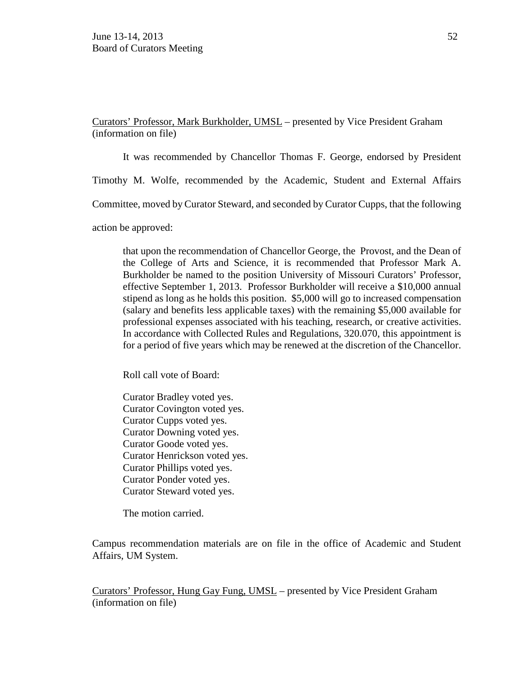Curators' Professor, Mark Burkholder, UMSL – presented by Vice President Graham (information on file)

It was recommended by Chancellor Thomas F. George, endorsed by President

Timothy M. Wolfe, recommended by the Academic, Student and External Affairs

Committee, moved by Curator Steward, and seconded by Curator Cupps, that the following

action be approved:

that upon the recommendation of Chancellor George, the Provost, and the Dean of the College of Arts and Science, it is recommended that Professor Mark A. Burkholder be named to the position University of Missouri Curators' Professor, effective September 1, 2013. Professor Burkholder will receive a \$10,000 annual stipend as long as he holds this position. \$5,000 will go to increased compensation (salary and benefits less applicable taxes) with the remaining \$5,000 available for professional expenses associated with his teaching, research, or creative activities. In accordance with Collected Rules and Regulations, 320.070, this appointment is for a period of five years which may be renewed at the discretion of the Chancellor.

Roll call vote of Board:

Curator Bradley voted yes. Curator Covington voted yes. Curator Cupps voted yes. Curator Downing voted yes. Curator Goode voted yes. Curator Henrickson voted yes. Curator Phillips voted yes. Curator Ponder voted yes. Curator Steward voted yes.

The motion carried.

Campus recommendation materials are on file in the office of Academic and Student Affairs, UM System.

Curators' Professor, Hung Gay Fung, UMSL – presented by Vice President Graham (information on file)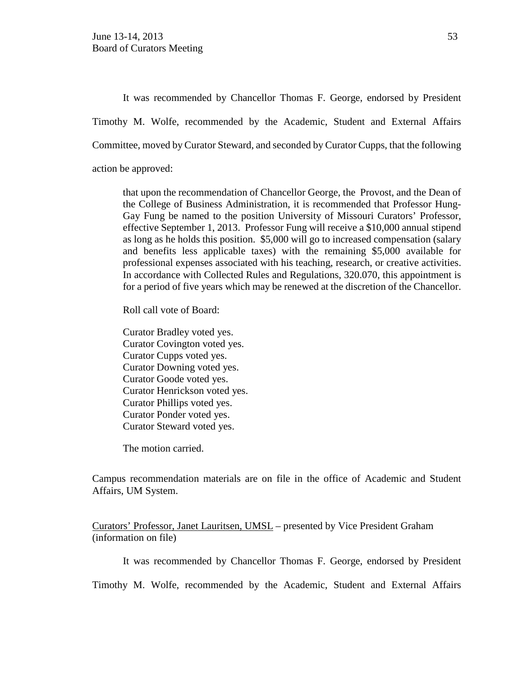It was recommended by Chancellor Thomas F. George, endorsed by President Timothy M. Wolfe, recommended by the Academic, Student and External Affairs Committee, moved by Curator Steward, and seconded by Curator Cupps, that the following action be approved:

that upon the recommendation of Chancellor George, the Provost, and the Dean of the College of Business Administration, it is recommended that Professor Hung-Gay Fung be named to the position University of Missouri Curators' Professor, effective September 1, 2013. Professor Fung will receive a \$10,000 annual stipend as long as he holds this position. \$5,000 will go to increased compensation (salary and benefits less applicable taxes) with the remaining \$5,000 available for professional expenses associated with his teaching, research, or creative activities. In accordance with Collected Rules and Regulations, 320.070, this appointment is for a period of five years which may be renewed at the discretion of the Chancellor.

Roll call vote of Board:

Curator Bradley voted yes. Curator Covington voted yes. Curator Cupps voted yes. Curator Downing voted yes. Curator Goode voted yes. Curator Henrickson voted yes. Curator Phillips voted yes. Curator Ponder voted yes. Curator Steward voted yes.

The motion carried.

Campus recommendation materials are on file in the office of Academic and Student Affairs, UM System.

Curators' Professor, Janet Lauritsen, UMSL – presented by Vice President Graham (information on file)

It was recommended by Chancellor Thomas F. George, endorsed by President

Timothy M. Wolfe, recommended by the Academic, Student and External Affairs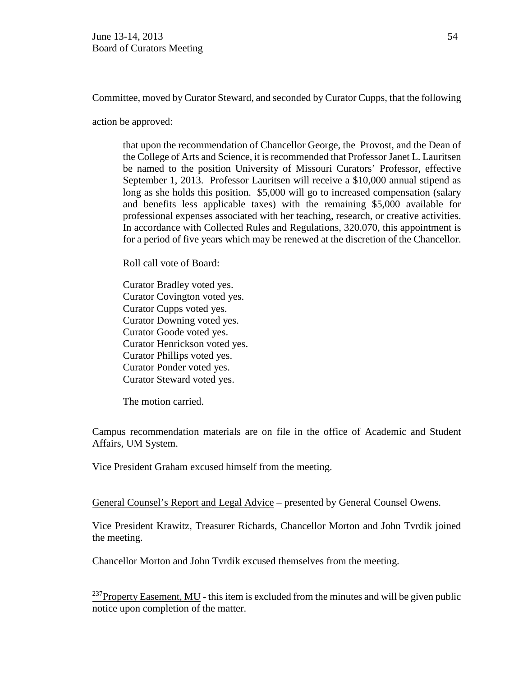Committee, moved by Curator Steward, and seconded by Curator Cupps, that the following

action be approved:

that upon the recommendation of Chancellor George, the Provost, and the Dean of the College of Arts and Science, it is recommended that Professor Janet L. Lauritsen be named to the position University of Missouri Curators' Professor, effective September 1, 2013. Professor Lauritsen will receive a \$10,000 annual stipend as long as she holds this position. \$5,000 will go to increased compensation (salary and benefits less applicable taxes) with the remaining \$5,000 available for professional expenses associated with her teaching, research, or creative activities. In accordance with Collected Rules and Regulations, 320.070, this appointment is for a period of five years which may be renewed at the discretion of the Chancellor.

Roll call vote of Board:

Curator Bradley voted yes. Curator Covington voted yes. Curator Cupps voted yes. Curator Downing voted yes. Curator Goode voted yes. Curator Henrickson voted yes. Curator Phillips voted yes. Curator Ponder voted yes. Curator Steward voted yes.

The motion carried.

Campus recommendation materials are on file in the office of Academic and Student Affairs, UM System.

Vice President Graham excused himself from the meeting.

General Counsel's Report and Legal Advice – presented by General Counsel Owens.

Vice President Krawitz, Treasurer Richards, Chancellor Morton and John Tvrdik joined the meeting.

Chancellor Morton and John Tvrdik excused themselves from the meeting.

 $^{237}$ Property Easement, MU - this item is excluded from the minutes and will be given public notice upon completion of the matter.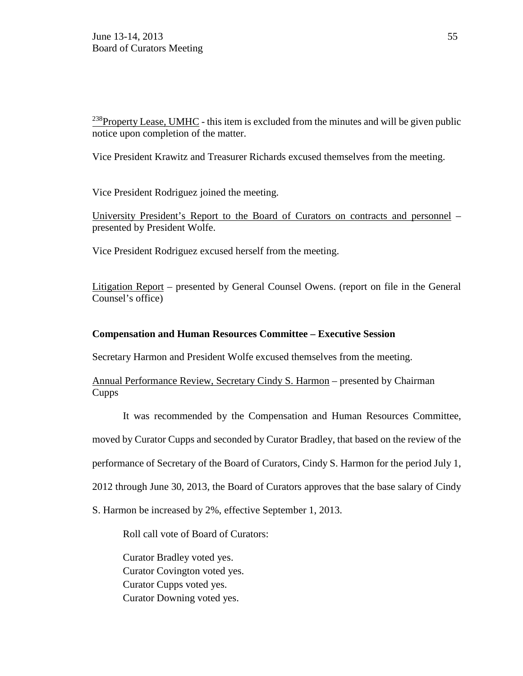$^{238}$ Property Lease, UMHC - this item is excluded from the minutes and will be given public notice upon completion of the matter.

Vice President Krawitz and Treasurer Richards excused themselves from the meeting.

Vice President Rodriguez joined the meeting.

University President's Report to the Board of Curators on contracts and personnel – presented by President Wolfe.

Vice President Rodriguez excused herself from the meeting.

Litigation Report – presented by General Counsel Owens. (report on file in the General Counsel's office)

## **Compensation and Human Resources Committee – Executive Session**

Secretary Harmon and President Wolfe excused themselves from the meeting.

Annual Performance Review, Secretary Cindy S. Harmon – presented by Chairman Cupps

It was recommended by the Compensation and Human Resources Committee,

moved by Curator Cupps and seconded by Curator Bradley, that based on the review of the

performance of Secretary of the Board of Curators, Cindy S. Harmon for the period July 1,

2012 through June 30, 2013, the Board of Curators approves that the base salary of Cindy

S. Harmon be increased by 2%, effective September 1, 2013.

Roll call vote of Board of Curators:

Curator Bradley voted yes. Curator Covington voted yes. Curator Cupps voted yes. Curator Downing voted yes.